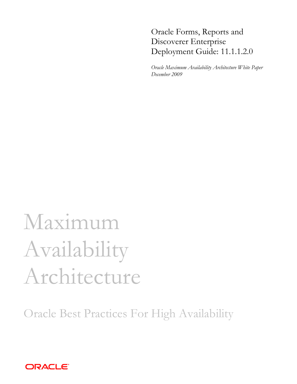# Oracle Forms, Reports and Discoverer Enterprise Deployment Guide: 11.1.1.2.0

*Oracle Maximum Availability Architecture White Paper December 2009*

# Maximum Availability Architecture

Oracle Best Practices For High Availability

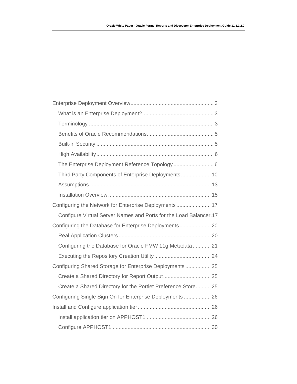| Third Party Components of Enterprise Deployments 10               |  |
|-------------------------------------------------------------------|--|
|                                                                   |  |
|                                                                   |  |
| Configuring the Network for Enterprise Deployments 17             |  |
| Configure Virtual Server Names and Ports for the Load Balancer.17 |  |
|                                                                   |  |
|                                                                   |  |
| Configuring the Database for Oracle FMW 11g Metadata  21          |  |
|                                                                   |  |
| Configuring Shared Storage for Enterprise Deployments 25          |  |
|                                                                   |  |
| Create a Shared Directory for the Portlet Preference Store 25     |  |
| Configuring Single Sign On for Enterprise Deployments  26         |  |
|                                                                   |  |
|                                                                   |  |
|                                                                   |  |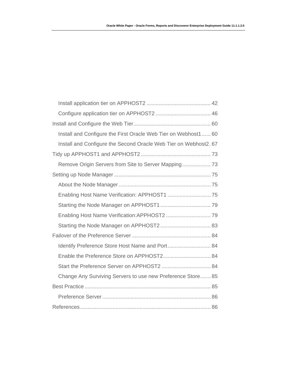| Install and Configure the First Oracle Web Tier on Webhost1  60 |
|-----------------------------------------------------------------|
| Install and Configure the Second Oracle Web Tier on Webhost2.67 |
|                                                                 |
|                                                                 |
|                                                                 |
|                                                                 |
|                                                                 |
|                                                                 |
|                                                                 |
|                                                                 |
|                                                                 |
|                                                                 |
|                                                                 |
|                                                                 |
| Change Any Surviving Servers to use new Preference Store 85     |
|                                                                 |
|                                                                 |
|                                                                 |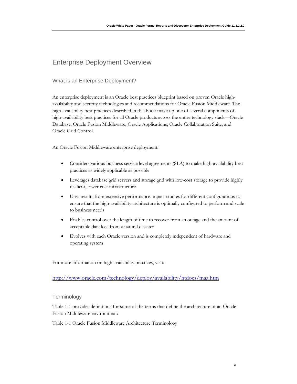# <span id="page-3-0"></span>Enterprise Deployment Overview

# What is an Enterprise Deployment?

An enterprise deployment is an Oracle best practices blueprint based on proven Oracle highavailability and security technologies and recommendations for Oracle Fusion Middleware. The high-availability best practices described in this book make up one of several components of high-availability best practices for all Oracle products across the entire technology stack—Oracle Database, Oracle Fusion Middleware, Oracle Applications, Oracle Collaboration Suite, and Oracle Grid Control.

An Oracle Fusion Middleware enterprise deployment:

- Considers various business service level agreements (SLA) to make high-availability best practices as widely applicable as possible
- Leverages database grid servers and storage grid with low-cost storage to provide highly resilient, lower cost infrastructure
- Uses results from extensive performance impact studies for different configurations to ensure that the high-availability architecture is optimally configured to perform and scale to business needs
- Enables control over the length of time to recover from an outage and the amount of acceptable data loss from a natural disaster
- Evolves with each Oracle version and is completely independent of hardware and operating system

For more information on high availability practices, visit:

<http://www.oracle.com/technology/deploy/availability/htdocs/maa.htm>

**Terminology** 

Table 1-1 provides definitions for some of the terms that define the architecture of an Oracle Fusion Middleware environment:

Table 1-1 Oracle Fusion Middleware Architecture Terminology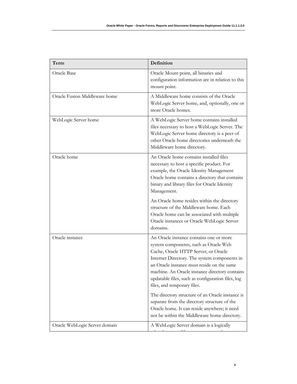| Oracle Base                   | Oracle Mount point, all binaries and                                                                                                                                                                                                                                                                                                                                                                             |
|-------------------------------|------------------------------------------------------------------------------------------------------------------------------------------------------------------------------------------------------------------------------------------------------------------------------------------------------------------------------------------------------------------------------------------------------------------|
|                               | configuration information are in relation to this<br>mount point.                                                                                                                                                                                                                                                                                                                                                |
| Oracle Fusion Middleware home | A Middleware home consists of the Oracle<br>WebLogic Server home, and, optionally, one or<br>more Oracle homes.                                                                                                                                                                                                                                                                                                  |
| WebLogic Server home          | A WebLogic Server home contains installed<br>files necessary to host a WebLogic Server. The<br>WebLogic Server home directory is a peer of<br>other Oracle home directories underneath the<br>Middleware home directory.                                                                                                                                                                                         |
| Oracle home                   | An Oracle home contains installed files<br>necessary to host a specific product. For<br>example, the Oracle Identity Management<br>Oracle home contains a directory that contains<br>binary and library files for Oracle Identity<br>Management.                                                                                                                                                                 |
|                               | An Oracle home resides within the directory<br>structure of the Middleware home. Each<br>Oracle home can be associated with multiple<br>Oracle instances or Oracle WebLogic Server<br>domains.                                                                                                                                                                                                                   |
| Oracle instance               | An Oracle instance contains one or more<br>system components, such as Oracle Web<br>Cache, Oracle HTTP Server, or Oracle<br>Internet Directory. The system components in<br>an Oracle instance must reside on the same<br>machine. An Oracle instance directory contains<br>updatable files, such as configuration files, log<br>files, and temporary files.<br>The directory structure of an Oracle instance is |
|                               | separate from the directory structure of the<br>Oracle home. It can reside anywhere; it need<br>not be within the Middleware home directory.                                                                                                                                                                                                                                                                     |
| Oracle WebLogic Server domain | A WebLogic Server domain is a logically                                                                                                                                                                                                                                                                                                                                                                          |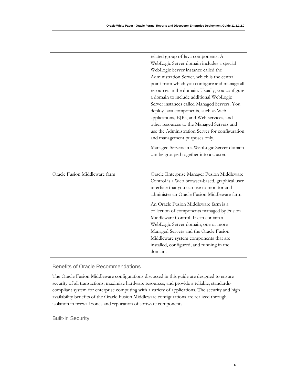<span id="page-5-0"></span>

|                               | related group of Java components. A<br>WebLogic Server domain includes a special<br>WebLogic Server instance called the<br>Administration Server, which is the central<br>point from which you configure and manage all<br>resources in the domain. Usually, you configure<br>a domain to include additional WebLogic<br>Server instances called Managed Servers. You<br>deploy Java components, such as Web<br>applications, EJBs, and Web services, and<br>other resources to the Managed Servers and<br>use the Administration Server for configuration<br>and management purposes only. |
|-------------------------------|---------------------------------------------------------------------------------------------------------------------------------------------------------------------------------------------------------------------------------------------------------------------------------------------------------------------------------------------------------------------------------------------------------------------------------------------------------------------------------------------------------------------------------------------------------------------------------------------|
|                               | Managed Servers in a WebLogic Server domain<br>can be grouped together into a cluster.                                                                                                                                                                                                                                                                                                                                                                                                                                                                                                      |
| Oracle Fusion Middleware farm | Oracle Enterprise Manager Fusion Middleware<br>Control is a Web browser-based, graphical user<br>interface that you can use to monitor and<br>administer an Oracle Fusion Middleware farm.<br>An Oracle Fusion Middleware farm is a<br>collection of components managed by Fusion<br>Middleware Control. It can contain a<br>WebLogic Server domain, one or more<br>Managed Servers and the Oracle Fusion<br>Middleware system components that are<br>installed, configured, and running in the<br>domain.                                                                                  |

Benefits of Oracle Recommendations

The Oracle Fusion Middleware configurations discussed in this guide are designed to ensure security of all transactions, maximize hardware resources, and provide a reliable, standardscompliant system for enterprise computing with a variety of applications. The security and high availability benefits of the Oracle Fusion Middleware configurations are realized through isolation in firewall zones and replication of software components.

Built-in Security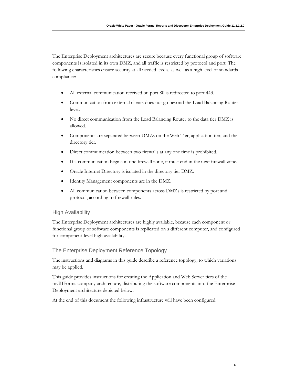<span id="page-6-0"></span>The Enterprise Deployment architectures are secure because every functional group of software components is isolated in its own DMZ, and all traffic is restricted by protocol and port. The following characteristics ensure security at all needed levels, as well as a high level of standards compliance:

- All external communication received on port 80 is redirected to port 443.
- Communication from external clients does not go beyond the Load Balancing Router level.
- No direct communication from the Load Balancing Router to the data tier DMZ is allowed.
- Components are separated between DMZs on the Web Tier, application tier, and the directory tier.
- Direct communication between two firewalls at any one time is prohibited.
- If a communication begins in one firewall zone, it must end in the next firewall zone.
- Oracle Internet Directory is isolated in the directory tier DMZ.
- Identity Management components are in the DMZ.
- All communication between components across DMZs is restricted by port and protocol, according to firewall rules.

#### High Availability

The Enterprise Deployment architectures are highly available, because each component or functional group of software components is replicated on a different computer, and configured for component-level high availability.

#### The Enterprise Deployment Reference Topology

The instructions and diagrams in this guide describe a reference topology, to which variations may be applied.

This guide provides instructions for creating the Application and Web Server tiers of the myBIForms company architecture, distributing the software components into the Enterprise Deployment architecture depicted below.

At the end of this document the following infrastructure will have been configured.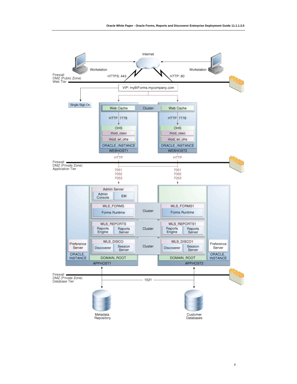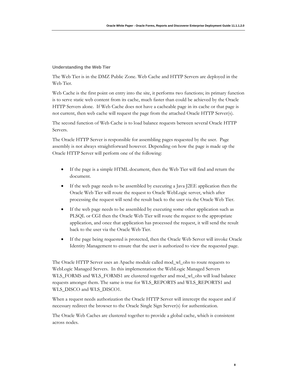#### **Understanding the Web Tier**

The Web Tier is in the DMZ Public Zone. Web Cache and HTTP Servers are deployed in the Web Tier.

Web Cache is the first point on entry into the site, it performs two functions; its primary function is to serve static web content from its cache, much faster than could be achieved by the Oracle HTTP Servers alone. If Web Cache does not have a cacheable page in its cache or that page is not current, then web cache will request the page from the attached Oracle HTTP Server(s).

The second function of Web Cache is to load balance requests between several Oracle HTTP Servers.

The Oracle HTTP Server is responsible for assembling pages requested by the user. Page assembly is not always straightforward however. Depending on how the page is made up the Oracle HTTP Server will perform one of the following:

- If the page is a simple HTML document, then the Web Tier will find and return the document.
- If the web page needs to be assembled by executing a Java J2EE application then the Oracle Web Tier will route the request to Oracle WebLogic server, which after processing the request will send the result back to the user via the Oracle Web Tier.
- If the web page needs to be assembled by executing some other application such as PLSQL or CGI then the Oracle Web Tier will route the request to the appropriate application, and once that application has processed the request, it will send the result back to the user via the Oracle Web Tier.
- If the page being requested is protected, then the Oracle Web Server will invoke Oracle Identity Management to ensure that the user is authorized to view the requested page.

The Oracle HTTP Server uses an Apache module called mod\_wl\_ohs to route requests to WebLogic Managed Servers. In this implementation the WebLogic Managed Servers WLS\_FORMS and WLS\_FORMS1 are clustered together and mod\_wl\_ohs will load balance requests amongst them. The same is true for WLS\_REPORTS and WLS\_REPORTS1 and WLS\_DISCO and WLS\_DISCO1.

When a request needs authorization the Oracle HTTP Server will intercept the request and if necessary redirect the browser to the Oracle Single Sign Server(s) for authentication.

The Oracle Web Caches are clustered together to provide a global cache, which is consistent across nodes.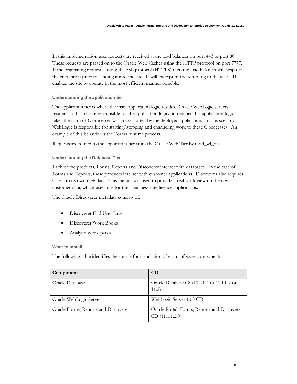In this implementation user requests are received at the load balancer on port 443 or port 80. These requests are passed on to the Oracle Web Caches using the HTTP protocol on port 7777. If the originating request is using the SSL protocol (HTTPS) then the load balancer will strip off the encryption prior to sending it into the site. It will encrypt traffic returning to the user. This enables the site to operate in the most efficient manner possible.

#### **Understanding the application tier**

The application tier is where the main application logic resides. Oracle WebLogic servers resident in this tier are responsible for the application logic. Sometimes this application logic takes the form of C processes which are started by the deployed application. In this scenario WebLogic is responsible for starting/stopping and channeling work to these C processes. An example of this behavior is the Forms runtime process.

Requests are routed to the application tier from the Oracle Web Tier by mod\_wl\_ohs.

#### **Understanding the Database Tier**

Each of the products, Forms, Reports and Discoverer interact with databases. In the case of Forms and Reports, these products interact with customer applications. Discoverer also requires access to its own metadata. This metadata is used to provide a real worldview on the raw customer data, which users use for their business intelligence applications.

The Oracle Discoverer metadata consists of:

- Discoverer End User Layer
- Discoverer Work Books
- Analytic Workspaces

#### **What to Install**

The following table identifies the source for installation of each software component:

| Component                            | <b>CD</b>                                                      |
|--------------------------------------|----------------------------------------------------------------|
| Oracle Database                      | Oracle Database CS (10.2.0.4 or 11.1.0.7 or<br>11.2)           |
| Oracle WebLogic Server               | WebLogic Server 10.3 CD                                        |
| Oracle Forms, Reports and Discoverer | Oracle Portal, Forms, Reports and Discoverer<br>CD(11.1.1.2.0) |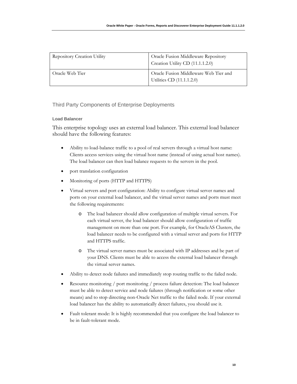<span id="page-10-0"></span>

| <b>Repository Creation Utility</b> | Oracle Fusion Middleware Repository<br>Creation Utility CD (11.1.1.2.0) |
|------------------------------------|-------------------------------------------------------------------------|
| Oracle Web Tier                    | Oracle Fusion Middleware Web Tier and<br>Utilities CD (11.1.1.2.0)      |

# Third Party Components of Enterprise Deployments

# **Load Balancer**

This enterprise topology uses an external load balancer. This external load balancer should have the following features:

- Ability to load-balance traffic to a pool of real servers through a virtual host name: Clients access services using the virtual host name (instead of using actual host names). The load balancer can then load balance requests to the servers in the pool.
- port translation configuration
- Monitoring of ports (HTTP and HTTPS)
- Virtual servers and port configuration: Ability to configure virtual server names and ports on your external load balancer, and the virtual server names and ports must meet the following requirements:
	- o The load balancer should allow configuration of multiple virtual servers. For each virtual server, the load balancer should allow configuration of traffic management on more than one port. For example, for OracleAS Clusters, the load balancer needs to be configured with a virtual server and ports for HTTP and HTTPS traffic.
	- o The virtual server names must be associated with IP addresses and be part of your DNS. Clients must be able to access the external load balancer through the virtual server names.
- Ability to detect node failures and immediately stop routing traffic to the failed node.
- Resource monitoring / port monitoring / process failure detection: The load balancer must be able to detect service and node failures (through notification or some other means) and to stop directing non-Oracle Net traffic to the failed node. If your external load balancer has the ability to automatically detect failures, you should use it.
- Fault tolerant mode: It is highly recommended that you configure the load balancer to be in fault-tolerant mode.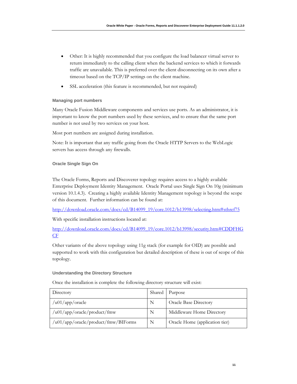- Other: It is highly recommended that you configure the load balancer virtual server to return immediately to the calling client when the backend services to which it forwards traffic are unavailable. This is preferred over the client disconnecting on its own after a timeout based on the TCP/IP settings on the client machine.
- SSL acceleration (this feature is recommended, but not required)

# **Managing port numbers**

Many Oracle Fusion Middleware components and services use ports. As an administrator, it is important to know the port numbers used by these services, and to ensure that the same port number is not used by two services on your host.

Most port numbers are assigned during installation.

Note: It is important that any traffic going from the Oracle HTTP Servers to the WebLogic servers has access through any firewalls.

# **Oracle Single Sign On**

The Oracle Forms, Reports and Discoverer topology requires access to a highly available Enterprise Deployment Identity Management. Oracle Portal uses Single Sign On 10g (minimum version 10.1.4.3). Creating a highly available Identity Management topology is beyond the scope of this document. Further information can be found at:

http://download.oracle.com/docs/cd/B14099\_19/core.1012/b13998/selecting.htm#sthref75

With specific installation instructions located at:

http://download.oracle.com/docs/cd/B14099\_19/core.1012/b13998/security.htm#CDDFHG CF

Other variants of the above topology using 11g stack (for example for OID) are possible and supported to work with this configuration but detailed description of these is out of scope of this topology.

#### **Understanding the Directory Structure**

Directory Shared Purpose /u01/app/oracle N Oracle Base Directory /u01/app/oracle/product/fmw N Middleware Home Directory /u01/app/oracle/product/fmw/BIForms N Oracle Home (application tier)

Once the installation is complete the following directory structure will exist: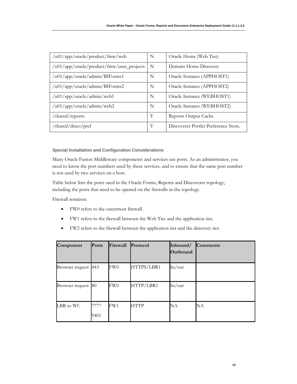| /u01/app/oracle/product/fmw/web              | N | Oracle Home (Web Tier)               |
|----------------------------------------------|---|--------------------------------------|
| $/u01/app/oracle/product/fmw/user\_projects$ | N | Domain Home Directory                |
| /u01/app/oracle/admin/BIForms1               | N | Oracle Instance (APPHOST1)           |
| /u01/app/oracle/admin/BIForms2               | N | Oracle Instance (APPHOST2)           |
| /u01/app/cracle/admin/web1                   | N | Oracle Instance (WEBHOST1)           |
| /u01/app/oracle/admin/web2                   | N | Oracle Instance (WEBHOST2)           |
| shared/reports                               | Y | Reports Output Cache                 |
| /shared/disco/pref                           | Y | Discoverer Portlet Preference Store. |

**Special Installation and Configuration Considerations**

Many Oracle Fusion Middleware components and services use ports. As an administrator, you need to know the port numbers used by these services, and to ensure that the same port number is not used by two services on a host.

Table below lists the ports used in the Oracle Forms, Reports and Discoverer topology, including the ports that need to be opened on the firewalls in the topology.

Firewall notation:

- FW0 refers to the outermost firewall.
- FW1 refers to the firewall between the Web Tier and the application tier.
- FW2 refers to the firewall between the application tier and the directory tier.

| Component           | <b>Ports</b> | Firewall | Protocol    | Inbound/ | <b>Comments</b> |
|---------------------|--------------|----------|-------------|----------|-----------------|
|                     |              |          |             | Outbound |                 |
|                     |              |          |             |          |                 |
| Browser request 443 |              | FW0      | HTTPS/LBR1  | In/out   |                 |
|                     |              |          |             |          |                 |
| Browser request 80  |              | FW0      | HTTP/LBR1   | In/out   |                 |
|                     |              |          |             |          |                 |
| LBR to WC           | 7777         | FW1      | <b>HTTP</b> | NΑ       | NA              |
|                     | 9401         |          |             |          |                 |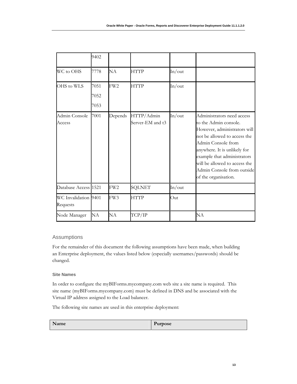<span id="page-13-0"></span>

|                                  | 9402                 |                 |                                |        |                                                                                                                                                                                                                                                                                                 |
|----------------------------------|----------------------|-----------------|--------------------------------|--------|-------------------------------------------------------------------------------------------------------------------------------------------------------------------------------------------------------------------------------------------------------------------------------------------------|
| WC to OHS                        | 7778                 | NA              | <b>HTTP</b>                    | In/out |                                                                                                                                                                                                                                                                                                 |
| OHS to WLS                       | 7051<br>7052<br>7053 | FW <sub>2</sub> | <b>HTTP</b>                    | In/out |                                                                                                                                                                                                                                                                                                 |
| Admin Console<br>Access          | 7001                 | Depends         | HTTP/Admin<br>Server-EM and t3 | In/out | Administrators need access<br>to the Admin console.<br>However, administrators will<br>not be allowed to access the<br>Admin Console from<br>anywhere. It is unlikely for<br>example that administrators<br>will be allowed to access the<br>Admin Console from outside<br>of the organisation. |
| Database Access 1521             |                      | FW <sub>2</sub> | <b>SQLNET</b>                  | In/out |                                                                                                                                                                                                                                                                                                 |
| WC Invalidation 9401<br>Requests |                      | FW3             | <b>HTTP</b>                    | Out    |                                                                                                                                                                                                                                                                                                 |
| Node Manager                     | NA                   | NA              | TCP/IP                         |        | NA                                                                                                                                                                                                                                                                                              |

# Assumptions

For the remainder of this document the following assumptions have been made, when building an Enterprise deployment, the values listed below (especially usernames/passwords) should be changed.

# **Site Names**

In order to configure the myBIForms.mycompany.com web site a site name is required. This site name (myBIForms.mycompany.com) must be defined in DNS and be associated with the Virtual IP address assigned to the Load balancer.

The following site names are used in this enterprise deployment:

| <b>NT</b><br>Name | Purpose |
|-------------------|---------|
|                   | -       |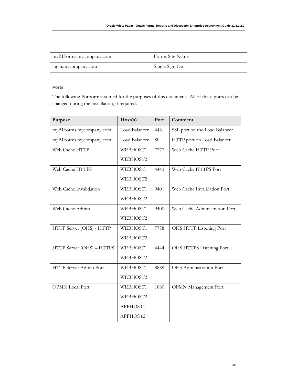| myBIForms.mycompany.com | Forms Site Name |
|-------------------------|-----------------|
| login.mycompany.com     | Single Sign On  |

# **Ports**

The following Ports are assumed for the purposes of this document. All of these ports can be changed during the installation, if required.

| Purpose                   | Host(s)       | Port | Comment                       |
|---------------------------|---------------|------|-------------------------------|
| myBIForms.mycompany.com   | Load Balancer | 443  | SSL port on the Load Balancer |
| myBIForms.mycompany.com   | Load Balancer | 80   | HTTP port on Load Balancer    |
| Web Cache HTTP            | WEBHOST1      | 7777 | Web Cache HTTP Port           |
|                           | WEBHOST2      |      |                               |
| Web Cache HTTPS           | WEBHOST1      | 4443 | Web Cache HTTPS Port          |
|                           | WEBHOST2      |      |                               |
| Web Cache Invalidation    | WEBHOST1      | 9401 | Web Cache Invalidation Port   |
|                           | WEBHOST2      |      |                               |
| Web Cache Admin           | WEBHOST1      | 9400 | Web Cache Administration Port |
|                           | WEBHOST2      |      |                               |
| HTTP Server (OHS) - HTTP  | WEBHOST1      | 7778 | OHS HTTP Listening Port       |
|                           | WEBHOST2      |      |                               |
| HTTP Server (OHS) - HTTPS | WEBHOST1      | 4444 | OHS HTTPS Listening Port      |
|                           | WEBHOST2      |      |                               |
| HTTP Server Admin Port    | WEBHOST1      | 8889 | OHS Administration Port       |
|                           | WEBHOST2      |      |                               |
| <b>OPMN</b> Local Port    | WEBHOST1      | 1880 | <b>OPMN</b> Management Port   |
|                           | WEBHOST2      |      |                               |
|                           | APPHOST1      |      |                               |
|                           | APPHOST2      |      |                               |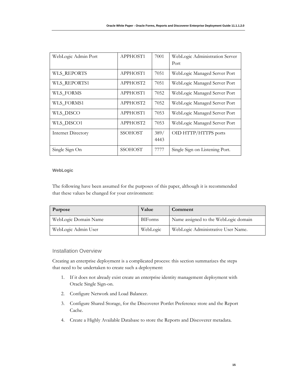<span id="page-15-0"></span>

| WebLogic Admin Port       | APPHOST1       | 7001         | WebLogic Administration Server<br>Port |
|---------------------------|----------------|--------------|----------------------------------------|
| WLS REPORTS               | APPHOST1       | 7051         | WebLogic Managed Server Port           |
| WLS REPORTS1              | APPHOST2       | 7051         | WebLogic Managed Server Port           |
| WLS FORMS                 | APPHOST1       | 7052         | WebLogic Managed Server Port           |
| WLS FORMS1                | APPHOST2       | 7052         | WebLogic Managed Server Port           |
| WLS DISCO                 | APPHOST1       | 7053         | WebLogic Managed Server Port           |
| WLS_DISCO1                | APPHOST2       | 7053         | WebLogic Managed Server Port           |
| <b>Internet Directory</b> | <b>SSOHOST</b> | 389/<br>4443 | OID HTTP/HTTPS ports                   |
| Single Sign On            | SSOHOST        | 7777         | Single Sign on Listening Port.         |

# **WebLogic**

The following have been assumed for the purposes of this paper, although it is recommended that these values be changed for your environment:

| <b>Purpose</b>       | Value          | Comment                              |
|----------------------|----------------|--------------------------------------|
| WebLogic Domain Name | <b>BIForms</b> | Name assigned to the WebLogic domain |
| WebLogic Admin User  | WebLogic       | WebLogic Administrative User Name.   |

# Installation Overview

Creating an enterprise deployment is a complicated process: this section summarizes the steps that need to be undertaken to create such a deployment:

- 1. If it does not already exist create an enterprise identity management deployment with Oracle Single Sign-on.
- 2. Configure Network and Load Balancer.
- 3. Configure Shared Storage, for the Discoverer Portlet Preference store and the Report Cache.
- 4. Create a Highly Available Database to store the Reports and Discoverer metadata.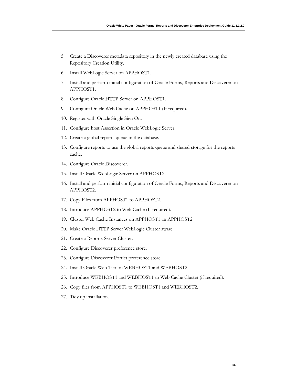- 5. Create a Discoverer metadata repository in the newly created database using the Repository Creation Utility.
- 6. Install WebLogic Server on APPHOST1.
- 7. Install and perform initial configuration of Oracle Forms, Reports and Discoverer on APPHOST1.
- 8. Configure Oracle HTTP Server on APPHOST1.
- 9. Configure Oracle Web Cache on APPHOST1 (If required).
- 10. Register with Oracle Single Sign On.
- 11. Configure host Assertion in Oracle WebLogic Server.
- 12. Create a global reports queue in the database.
- 13. Configure reports to use the global reports queue and shared storage for the reports cache.
- 14. Configure Oracle Discoverer.
- 15. Install Oracle WebLogic Server on APPHOST2.
- 16. Install and perform initial configuration of Oracle Forms, Reports and Discoverer on APPHOST2.
- 17. Copy Files from APPHOST1 to APPHOST2.
- 18. Introduce APPHOST2 to Web Cache (If required).
- 19. Cluster Web Cache Instances on APPHOST1 an APPHOST2.
- 20. Make Oracle HTTP Server WebLogic Cluster aware.
- 21. Create a Reports Server Cluster.
- 22. Configure Discoverer preference store.
- 23. Configure Discoverer Portlet preference store.
- 24. Install Oracle Web Tier on WEBHOST1 and WEBHOST2.
- 25. Introduce WEBHOST1 and WEBHOST1 to Web Cache Cluster (if required).
- 26. Copy files from APPHOST1 to WEBHOST1 and WEBHOST2.
- 27. Tidy up installation.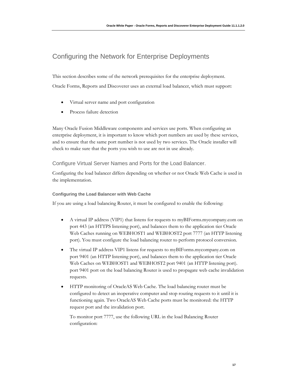# <span id="page-17-0"></span>Configuring the Network for Enterprise Deployments

This section describes some of the network prerequisites for the enterprise deployment. Oracle Forms, Reports and Discoverer uses an external load balancer, which must support:

- Virtual server name and port configuration
- Process failure detection

Many Oracle Fusion Middleware components and services use ports. When configuring an enterprise deployment, it is important to know which port numbers are used by these services, and to ensure that the same port number is not used by two services. The Oracle installer will check to make sure that the ports you wish to use are not in use already.

Configure Virtual Server Names and Ports for the Load Balancer.

Configuring the load balancer differs depending on whether or not Oracle Web Cache is used in the implementation.

# **Configuring the Load Balancer with Web Cache**

If you are using a load balancing Router, it must be configured to enable the following:

- A virtual IP address (VIP1) that listens for requests to myBIForms.mycompany.com on port 443 (an HTTPS listening port), and balances them to the application tier Oracle Web Caches running on WEBHOST1 and WEBHOST2 port 7777 (an HTTP listening port). You must configure the load balancing router to perform protocol conversion.
- The virtual IP address VIP1 listens for requests to myBIForms.mycompany.com on port 9401 (an HTTP listening port), and balances them to the application tier Oracle Web Caches on WEBHOST1 and WEBHOST2 port 9401 (an HTTP listening port). port 9401 port on the load balancing Router is used to propagate web cache invalidation requests.
- HTTP monitoring of OracleAS Web Cache. The load balancing router must be configured to detect an inoperative computer and stop routing requests to it until it is functioning again. Two OracleAS Web Cache ports must be monitored: the HTTP request port and the invalidation port.

To monitor port 7777, use the following URL in the load Balancing Router configuration: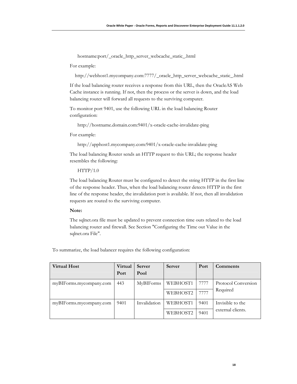hostname:port/\_oracle\_http\_server\_webcache\_static\_.html

For example:

http://webhost1.mycompany.com:7777/\_oracle\_http\_server\_webcache\_static\_.html

If the load balancing router receives a response from this URL, then the OracleAS Web Cache instance is running. If not, then the process or the server is down, and the load balancing router will forward all requests to the surviving computer.

To monitor port 9401, use the following URL in the load balancing Router configuration:

http://hostname.domain.com:9401/x-oracle-cache-invalidate-ping

For example:

http://apphost1.mycompany.com:9401/x-oracle-cache-invalidate-ping

The load balancing Router sends an HTTP request to this URL; the response header resembles the following:

 $HTTP/1.0$ 

The load balancing Router must be configured to detect the string HTTP in the first line of the response header. Thus, when the load balancing router detects HTTP in the first line of the response header, the invalidation port is available. If not, then all invalidation requests are routed to the surviving computer.

## **Note:**

The sqlnet.ora file must be updated to prevent connection time outs related to the load balancing router and firewall. See Section "Configuring the Time out Value in the sqlnet.ora File".

To summarize, the load balancer requires the following configuration:

| <b>Virtual Host</b>     | Virtual<br>Port | <b>Server</b><br>Pool | Server   | Port | Comments            |
|-------------------------|-----------------|-----------------------|----------|------|---------------------|
| myBIForms.mycompany.com | 443             | <b>MyBIForms</b>      | WEBHOST1 | 7777 | Protocol Conversion |
|                         |                 |                       | WEBHOST2 | 7777 | Required            |
| myBIForms.mycompany.com | 9401            | Invalidation          | WEBHOST1 | 9401 | Invisible to the    |
|                         |                 |                       | WEBHOST2 | 9401 | external clients.   |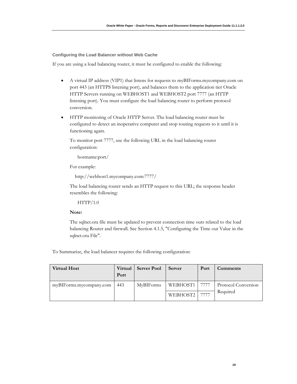**Configuring the Load Balancer without Web Cache** 

If you are using a load balancing router, it must be configured to enable the following:

- A virtual IP address (VIP1) that listens for requests to myBIForms.mycompany.com on port 443 (an HTTPS listening port), and balances them to the application tier Oracle HTTP Servers running on WEBHOST1 and WEBHOST2 port 7777 (an HTTP listening port). You must configure the load balancing router to perform protocol conversion.
- HTTP monitoring of Oracle HTTP Server. The load balancing router must be configured to detect an inoperative computer and stop routing requests to it until it is functioning again.

To monitor port 7777, use the following URL in the load balancing router configuration:

hostname:port/

For example:

```
 http://webhost1.mycompany.com:7777/
```
The load balancing router sends an HTTP request to this URL; the response header resembles the following:

 $HTTP/1.0$ 

#### **Note:**

The sqlnet.ora file must be updated to prevent connection time outs related to the load balancing Router and firewall. See Section 4.1.5, "Configuring the Time out Value in the sqlnet.ora File".

To Summarize, the load balancer requires the following configuration:

| <b>Virtual Host</b>     | Virtual<br>Port | <b>Server Pool</b> | Server          | Port | Comments            |
|-------------------------|-----------------|--------------------|-----------------|------|---------------------|
| myBIForms.mycompany.com | 443             | <b>MyBIForms</b>   | WEBHOST1   7777 |      | Protocol Conversion |
|                         |                 |                    | WEBHOST2        | 7777 | Required            |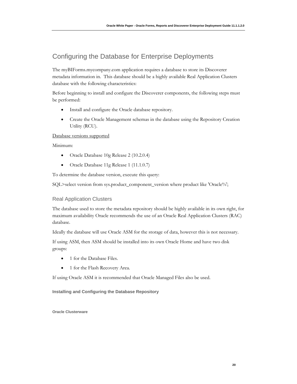# <span id="page-20-0"></span>Configuring the Database for Enterprise Deployments

The myBIForms.mycompany.com application requires a database to store its Discoverer metadata information in. This database should be a highly available Real Application Clusters database with the following characteristics:

Before beginning to install and configure the Discoverer components, the following steps must be performed:

- Install and configure the Oracle database repository.
- Create the Oracle Management schemas in the database using the Repository Creation Utility (RCU).

# Database versions supported

Minimum:

- Oracle Database 10g Release 2 (10.2.0.4)
- Oracle Database 11g Release 1 (11.1.0.7)

To determine the database version, execute this query:

SQL>select version from sys.product\_component\_version where product like 'Oracle%';

# Real Application Clusters

The database used to store the metadata repository should be highly available in its own right, for maximum availability Oracle recommends the use of an Oracle Real Application Clusters (RAC) database.

Ideally the database will use Oracle ASM for the storage of data, however this is not necessary.

If using ASM, then ASM should be installed into its own Oracle Home and have two disk groups:

- 1 for the Database Files.
- 1 for the Flash Recovery Area.

If using Oracle ASM it is recommended that Oracle Managed Files also be used.

**Installing and Configuring the Database Repository**

**Oracle Clusterware**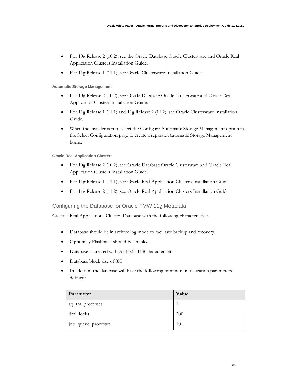- <span id="page-21-0"></span>• For 10g Release 2 (10.2), see the Oracle Database Oracle Clusterware and Oracle Real Application Clusters Installation Guide.
- For 11g Release 1 (11.1), see Oracle Clusterware Installation Guide.

## **Automatic Storage Management**

- For 10g Release 2 (10.2), see Oracle Database Oracle Clusterware and Oracle Real Application Clusters Installation Guide.
- For 11g Release 1 (11.1) and 11g Release 2 (11.2), see Oracle Clusterware Installation Guide.
- When the installer is run, select the Configure Automatic Storage Management option in the Select Configuration page to create a separate Automatic Storage Management home.

#### **Oracle Real Application Clusters**

- For 10g Release 2 (10.2), see Oracle Database Oracle Clusterware and Oracle Real Application Clusters Installation Guide.
- For 11g Release 1 (11.1), see Oracle Real Application Clusters Installation Guide.
- For 11g Release 2 (11.2), see Oracle Real Application Clusters Installation Guide.

# Configuring the Database for Oracle FMW 11g Metadata

Create a Real Applications Clusters Database with the following characteristics:

- Database should be in archive log mode to facilitate backup and recovery.
- Optionally Flashback should be enabled.
- Database is created with ALT32UTF8 character set.
- Database block size of 8K
- In addition the database will have the following minimum initialization parameters defined:

| Parameter           | Value      |
|---------------------|------------|
| aq_tm_processes     |            |
| dml_locks           | <b>200</b> |
| job_queue_processes | 10         |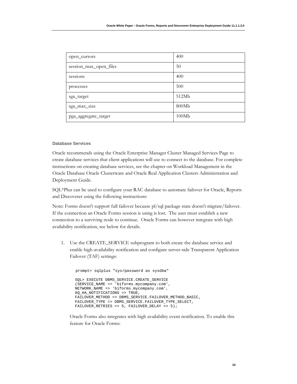| open_cursors           | 400   |
|------------------------|-------|
| session_max_open_files | 50    |
| sessions               | 400   |
| processes              | 500   |
| sga_target             | 512Mb |
| sga_max_size           | 800Mb |
| pga_aggregate_target   | 100Mb |

# **Database Services**

Oracle recommends using the Oracle Enterprise Manager Cluster Managed Services Page to create database services that client applications will use to connect to the database. For complete instructions on creating database services, see the chapter on Workload Management in the Oracle Database Oracle Clusterware and Oracle Real Application Clusters Administration and Deployment Guide.

SQL\*Plus can be used to configure your RAC database to automate failover for Oracle, Reports and Discoverer using the following instructions:

Note: Forms doesn't support full failover because pl/sql package state doesn't migrate/failover. If the connection an Oracle Forms session is using is lost. The user must establish a new connection to a surviving node to continue. Oracle Forms can however integrate with high availability notification, see below for details.

1. Use the CREATE\_SERVICE subprogram to both create the database service and enable high-availability notification and configure server-side Transparent Application Failover (TAF) settings:

```
 prompt> sqlplus "sys/password as sysdba" 
 SQL> EXECUTE DBMS_SERVICE.CREATE_SERVICE 
 (SERVICE_NAME => 'biforms.mycompany.com', 
 NETWORK_NAME => 'biforms.mycompany.com', 
 AQ_HA_NOTIFICATIONS => TRUE, 
 FAILOVER_METHOD => DBMS_SERVICE.FAILOVER_METHOD_BASIC, 
 FAILOVER_TYPE => DBMS_SERVICE.FAILOVER_TYPE_SELECT, 
FAILOVER_RETRIES => 5, FAILOVER_DELAY => 5);
```
Oracle Forms also integrates with high availability event notification. To enable this feature for Oracle Forms: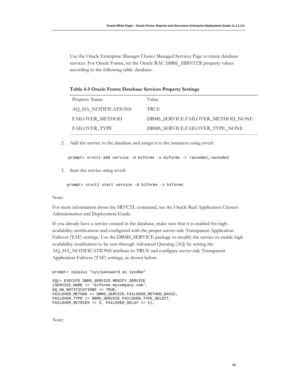Use the Oracle Enterprise Manager Cluster Managed Services Page to create database services. For Oracle Forms, set the Oracle RAC DBMS SERVICE property values according to the following table. database.

|  |  |  | Table 4-5 Oracle Forms Database Services Property Settings |  |  |  |
|--|--|--|------------------------------------------------------------|--|--|--|
|--|--|--|------------------------------------------------------------|--|--|--|

| Property Name          | Value                             |
|------------------------|-----------------------------------|
| AQ_HA_NOTIFICATIONS    | <b>TRUE</b>                       |
| <b>FAILOVER METHOD</b> | DBMS SERVICE.FAILOVER METHOD NONE |
| <b>FAILOVER TYPE</b>   | DBMS SERVICE.FAILOVER TYPE NONE   |

2. Add the service to the database and assign it to the instances using srvctl:

prompt> srvctl add service -d biforms -s biforms -r racnode1,racnode2

3. Start the service using srvctl:

prompt> srvctl start service -d biforms -s biforms

## Note:

For more information about the SRVCTL command, see the Oracle Real Application Clusters Administration and Deployment Guide.

If you already have a service created in the database, make sure that it is enabled for highavailability notifications and configured with the proper server-side Transparent Application Failover (TAF) settings. Use the DBMS\_SERVICE package to modify the service to enable high availability notification to be sent through Advanced Queuing (AQ) by setting the AQ\_HA\_NOTIFICATIONS attribute to TRUE and configure server-side Transparent Application Failover (TAF) settings, as shown below:

```
prompt> sqlplus "sys/password as sysdba"
```

```
SQL> EXECUTE DBMS_SERVICE.MODIFY_SERVICE 
(SERVICE_NAME => 'biforms.mycompany.com', 
AQ_HA_NOTIFICATIONS => TRUE, 
FAILOVER_METHOD => DBMS_SERVICE.FAILOVER_METHOD_BASIC, 
FAILOVER_TYPE => DBMS_SERVICE.FAILOVER_TYPE_SELECT, 
FAILOVER_RETRIES => 5, FAILOVER_DELAY => 5);
```
Note: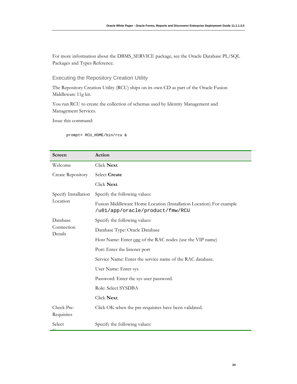<span id="page-24-0"></span>For more information about the DBMS\_SERVICE package, see the Oracle Database PL/SQL Packages and Types Reference.

# Executing the Repository Creation Utility

The Repository Creation Utility (RCU) ships on its own CD as part of the Oracle Fusion Middleware 11g kit.

You run RCU to create the collection of schemas used by Identity Management and Management Services.

Issue this command:

prompt> RCU\_HOME/bin/rcu &

| Screen                   | Action                                                                                                 |  |  |  |
|--------------------------|--------------------------------------------------------------------------------------------------------|--|--|--|
| Welcome                  | Click Next.                                                                                            |  |  |  |
| <b>Create Repository</b> | Select Create                                                                                          |  |  |  |
|                          | Click Next.                                                                                            |  |  |  |
| Specify Installation     | Specify the following values:                                                                          |  |  |  |
| Location                 | Fusion Middleware Home Location (Installation Location) For example<br>/u01/app/oracle/product/fmw/RCU |  |  |  |
| Database                 | Specify the following values:                                                                          |  |  |  |
| Connection<br>Details    | Database Type: Oracle Database                                                                         |  |  |  |
|                          | Host Name: Enter one of the RAC nodes (use the VIP name)                                               |  |  |  |
|                          | Port: Enter the listener port                                                                          |  |  |  |
|                          | Service Name: Enter the service name of the RAC database.                                              |  |  |  |
|                          | User Name: Enter sys                                                                                   |  |  |  |
|                          | Password: Enter the sys user password.                                                                 |  |  |  |
|                          | Role: Select SYSDBA                                                                                    |  |  |  |
|                          | Click Next.                                                                                            |  |  |  |
| Check Pre-<br>Requisites | Click OK when the pre-requisites have been validated.                                                  |  |  |  |
| Select                   | Specify the following values:                                                                          |  |  |  |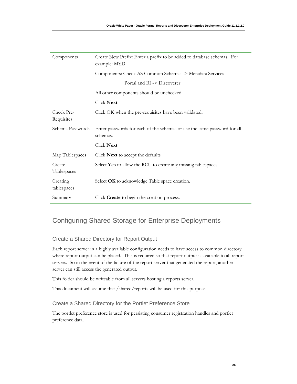<span id="page-25-0"></span>

| Components               | Create New Prefix: Enter a prefix to be added to database schemas. For<br>example: MYD |
|--------------------------|----------------------------------------------------------------------------------------|
|                          | Components: Check AS Common Schemas -> Metadata Services                               |
|                          | Portal and BI -> Discoverer                                                            |
|                          | All other components should be unchecked.                                              |
|                          | Click Next                                                                             |
| Check Pre-<br>Requisites | Click OK when the pre-requisites have been validated.                                  |
| Schema Passwords         | Enter passwords for each of the schemas or use the same password for all<br>schemas.   |
|                          | Click Next                                                                             |
| Map Tablespaces          | Click Next to accept the defaults                                                      |
| Create<br>Tablespaces    | Select Yes to allow the RCU to create any missing tablespaces.                         |
| Creating<br>tablespaces  | Select OK to acknowledge Table space creation.                                         |
| Summary                  | Click Create to begin the creation process.                                            |

# Configuring Shared Storage for Enterprise Deployments

# Create a Shared Directory for Report Output

Each report server in a highly available configuration needs to have access to common directory where report output can be placed. This is required so that report output is available to all report servers. So in the event of the failure of the report server that generated the report, another server can still access the generated output.

This folder should be writeable from all servers hosting a reports server.

This document will assume that /shared/reports will be used for this purpose.

# Create a Shared Directory for the Portlet Preference Store

The portlet preference store is used for persisting consumer registration handles and portlet preference data.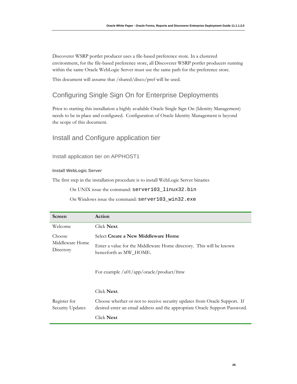<span id="page-26-0"></span>Discoverer WSRP portlet producer uses a file-based preference store. In a clustered environment, for the file-based preference store, all Discoverer WSRP portlet producers running within the same Oracle WebLogic Server must use the same path for the preference store.

This document will assume that /shared/disco/pref will be used.

# Configuring Single Sign On for Enterprise Deployments

Prior to starting this installation a highly available Oracle Single Sign On (Identity Management) needs to be in place and configured. Configuration of Oracle Identity Management is beyond the scope of this document.

# Install and Configure application tier

Install application tier on APPHOST1

## **Install WebLogic Server**

The first step in the installation procedure is to install WebLogic Server binaries

On UNIX issue the command: server103\_linux32.bin

On Windows issue the command: server103\_win32.exe

| Screen                           | Action                                                                                                                                                   |
|----------------------------------|----------------------------------------------------------------------------------------------------------------------------------------------------------|
| Welcome                          | Click <b>Next</b> .                                                                                                                                      |
| Choose                           | Select Create a New Middleware Home                                                                                                                      |
| Middleware Home<br>Directory     | Enter a value for the Middleware Home directory. This will be known<br>henceforth as MW_HOME.                                                            |
|                                  | For example /u01/app/oracle/product/fmw                                                                                                                  |
|                                  | Click Next.                                                                                                                                              |
| Register for<br>Security Updates | Choose whether or not to receive security updates from Oracle Support. If<br>desired enter an email address and the appropriate Oracle Support Password. |
|                                  | Click Next                                                                                                                                               |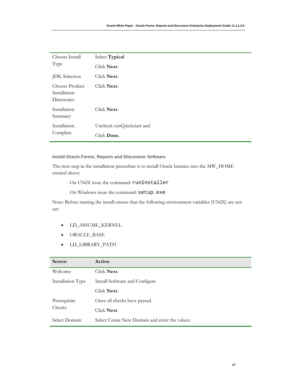| Choose Install<br>Type                        | Select Typical                           |  |  |
|-----------------------------------------------|------------------------------------------|--|--|
|                                               | Click Next.                              |  |  |
| <b>JDK</b> Selection                          | Click Next.                              |  |  |
| Choose Product<br>Installation<br>Directories | Click Next.                              |  |  |
| Installation<br>Summary                       | Click Next.                              |  |  |
| Installation<br>Complete                      | Uncheck runQuickstart and<br>Click Done. |  |  |

# **Install Oracle Forms, Reports and Discoverer Software**

The next step in the installation procedure is to install Oracle binaries into the MW\_HOME created above

On UNIX issue the command: runInstaller

On Windows issue the command: setup.exe

Note: Before starting the install ensure that the following environment variables (UNIX) are not set:

- LD\_ASSUME\_KERNEL
- ORACLE\_BASE
- LD\_LIBRARY\_PATH

| Screen            | Action                                         |  |
|-------------------|------------------------------------------------|--|
| Welcome           | Click Next.                                    |  |
| Installation Type | Install Software and Configure                 |  |
|                   | Click <b>Next</b> .                            |  |
| Prerequisite      | Once all checks have passed.                   |  |
| Checks            | Click <b>Next</b>                              |  |
| Select Domain     | Select Create New Domain and enter the values: |  |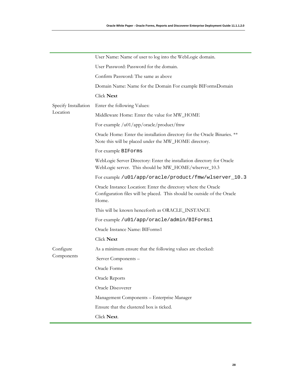|                                  | User Name: Name of user to log into the WebLogic domain.                                                                                            |
|----------------------------------|-----------------------------------------------------------------------------------------------------------------------------------------------------|
|                                  | User Password: Password for the domain.                                                                                                             |
|                                  | Confirm Password: The same as above                                                                                                                 |
|                                  | Domain Name: Name for the Domain For example BIFormsDomain                                                                                          |
|                                  | <b>Click Next</b>                                                                                                                                   |
| Specify Installation<br>Location | Enter the following Values:                                                                                                                         |
|                                  | Middleware Home: Enter the value for MW_HOME                                                                                                        |
|                                  | For example /u01/app/oracle/product/fmw                                                                                                             |
|                                  | Oracle Home: Enter the installation directory for the Oracle Binaries. **<br>Note this will be placed under the MW_HOME directory.                  |
|                                  | For example BIForms                                                                                                                                 |
|                                  | WebLogic Server Directory: Enter the installation directory for Oracle<br>WebLogic server. This should be MW_HOME/wlserver_10.3                     |
|                                  | For example /u01/app/oracle/product/fmw/wlserver_10.3                                                                                               |
|                                  | Oracle Instance Location: Enter the directory where the Oracle<br>Configuration files will be placed. This should be outside of the Oracle<br>Home. |
|                                  | This will be known henceforth as ORACLE_INSTANCE                                                                                                    |
|                                  | For example /u01/app/oracle/admin/BIForms1                                                                                                          |
|                                  | Oracle Instance Name: BIForms1                                                                                                                      |
|                                  | Click Next                                                                                                                                          |
| Configure                        | As a minimum ensure that the following values are checked:                                                                                          |
| Components                       | Server Components -                                                                                                                                 |
|                                  | Oracle Forms                                                                                                                                        |
|                                  | Oracle Reports                                                                                                                                      |
|                                  | Oracle Discoverer                                                                                                                                   |
|                                  | Management Components - Enterprise Manager                                                                                                          |
|                                  | Ensure that the clustered box is ticked.                                                                                                            |
|                                  | Click Next.                                                                                                                                         |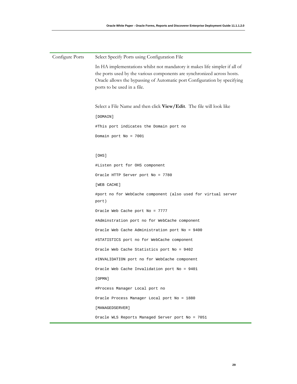| Configure Ports | Select Specify Ports using Configuration File                                                                                                                                                                                                                     |
|-----------------|-------------------------------------------------------------------------------------------------------------------------------------------------------------------------------------------------------------------------------------------------------------------|
|                 | In HA implementations whilst not mandatory it makes life simpler if all of<br>the ports used by the various components are synchronized across hosts.<br>Oracle allows the bypassing of Automatic port Configuration by specifying<br>ports to be used in a file. |
|                 |                                                                                                                                                                                                                                                                   |
|                 | Select a File Name and then click View/Edit. The file will look like                                                                                                                                                                                              |
|                 | [DOMAIN]                                                                                                                                                                                                                                                          |
|                 | #This port indicates the Domain port no                                                                                                                                                                                                                           |
|                 | Domain port $No = 7001$                                                                                                                                                                                                                                           |
|                 |                                                                                                                                                                                                                                                                   |
|                 | [OHS]                                                                                                                                                                                                                                                             |
|                 | #Listen port for OHS component                                                                                                                                                                                                                                    |
|                 | Oracle HTTP Server port No = 7780                                                                                                                                                                                                                                 |
|                 | [WEB CACHE]                                                                                                                                                                                                                                                       |
|                 | #port no for WebCache component (also used for virtual server<br>port)                                                                                                                                                                                            |
|                 | Oracle Web Cache port No = 7777                                                                                                                                                                                                                                   |
|                 | #Adminstration port no for WebCache component                                                                                                                                                                                                                     |
|                 | Oracle Web Cache Administration port No = 9400                                                                                                                                                                                                                    |
|                 | #STATISTICS port no for WebCache component                                                                                                                                                                                                                        |
|                 | Oracle Web Cache Statistics port No = 9402                                                                                                                                                                                                                        |
|                 | #INVALIDATION port no for WebCache component                                                                                                                                                                                                                      |
|                 | Oracle Web Cache Invalidation port No = 9401                                                                                                                                                                                                                      |
|                 | [OPMN]                                                                                                                                                                                                                                                            |
|                 | #Process Manager Local port no                                                                                                                                                                                                                                    |
|                 | Oracle Process Manager Local port No = 1880                                                                                                                                                                                                                       |
|                 | [MANAGEDSERVER]                                                                                                                                                                                                                                                   |
|                 | Oracle WLS Reports Managed Server port No = 7051                                                                                                                                                                                                                  |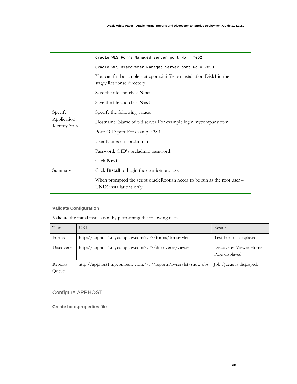<span id="page-30-0"></span>

|                                                 | Oracle WLS Forms Managed Server port No = 7052                                                        |
|-------------------------------------------------|-------------------------------------------------------------------------------------------------------|
| Specify<br>Application<br><b>Identity Store</b> | Oracle WLS Discoverer Managed Server port No = 7053                                                   |
|                                                 | You can find a sample static ports ini file on installation Disk1 in the<br>stage/Response directory. |
|                                                 | Save the file and click <b>Next</b>                                                                   |
|                                                 | Save the file and click Next                                                                          |
|                                                 | Specify the following values:                                                                         |
|                                                 | Hostname: Name of oid server For example login.mycompany.com                                          |
|                                                 | Port: OID port For example 389                                                                        |
|                                                 | User Name: cn=orcladmin                                                                               |
|                                                 | Password: OID's orcladmin password.                                                                   |
|                                                 | Click Next                                                                                            |
| Summary                                         | Click Install to begin the creation process.                                                          |
|                                                 | When prompted the script oracleRoot.sh needs to be run as the root user -<br>UNIX installations only. |

# **Validate Configuration**

Validate the initial installation by performing the following tests.

| Test             | URL                                                           | Result                                   |
|------------------|---------------------------------------------------------------|------------------------------------------|
| Forms            | http://apphost1.mycompany.com:7777/forms/frmservlet           | Test Form is displayed                   |
| Discoverer       | http://apphost1.mycompany.com:7777/discoverer/viewer          | Discoverer Viewer Home<br>Page displayed |
| Reports<br>Queue | http://apphost1.mycompany.com:7777/reports/rwservlet/showjobs | Job Queue is displayed.                  |

# Configure APPHOST1

**Create boot.properties file**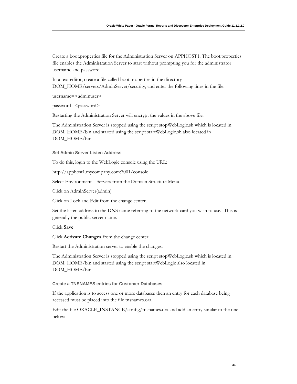Create a boot.properties file for the Administration Server on APPHOST1. The boot.properties file enables the Administration Server to start without prompting you for the administrator username and password.

In a text editor, create a file called boot.properties in the directory DOM\_HOME/servers/AdminServer/security, and enter the following lines in the file:

username=<adminuser>

password=<password>

Restarting the Administration Server will encrypt the values in the above file.

The Administration Server is stopped using the script stopWebLogic.sh which is located in DOM\_HOME/bin and started using the script startWebLogic.sh also located in DOM\_HOME/bin

#### **Set Admin Server Listen Address**

To do this, login to the WebLogic console using the URL:

http://apphost1.mycompany.com:7001/console

Select Environment – Servers from the Domain Structure Menu

Click on AdminServer(admin)

Click on Lock and Edit from the change center.

Set the listen address to the DNS name referring to the network card you wish to use. This is generally the public server name.

Click **Save**

Click **Activate Changes** from the change center.

Restart the Administration server to enable the changes.

The Administration Server is stopped using the script stopWebLogic.sh which is located in DOM\_HOME/bin and started using the script startWebLogic also located in DOM\_HOME/bin

#### **Create a TNSNAMES entries for Customer Databases**

If the application is to access one or more databases then an entry for each database being accessed must be placed into the file tnsnames.ora.

Edit the file ORACLE\_INSTANCE/config/tnsnames.ora and add an entry similar to the one below: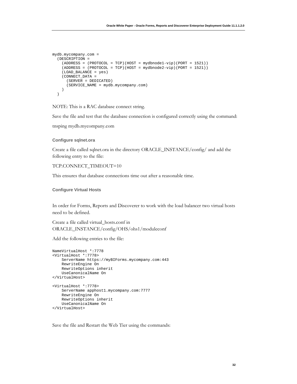```
mydb.mycompany.com = 
   (DESCRIPTION = 
    (ADDRESS = (PROTOCOL = TCP) (HOST = mydbnode1-vip) (PORT = 1521)) (ADDRESS = (PROTOCOL = TCP)(HOST = mydbnode2-vip)(PORT = 1521)) 
     (LOAD_BALANCE = yes) 
     (CONNECT_DATA = 
       (SERVER = DEDICATED) 
       (SERVICE_NAME = mydb.mycompany.com) 
     ) 
   )
```
NOTE: This is a RAC database connect string.

Save the file and test that the database connection is configured correctly using the command:

tnsping mydb.mycompany.com

#### **Configure sqlnet.ora**

Create a file called sqlnet.ora in the directory ORACLE\_INSTANCE/config/ and add the following entry to the file:

#### TCP.CONNECT\_TIMEOUT=10

This ensures that database connections time out after a reasonable time.

**Configure Virtual Hosts** 

In order for Forms, Reports and Discoverer to work with the load balancer two virtual hosts need to be defined.

Create a file called virtual\_hosts.conf in ORACLE\_INSTANCE/config/OHS/ohs1/moduleconf

Add the following entries to the file:

```
NameVirtualHost *:7778 
<VirtualHost *:7778> 
     ServerName https://myBIForms.mycompany.com:443 
     RewriteEngine On 
     RewriteOptions inherit 
     UseCanonicalName On 
</VirtualHost> 
<VirtualHost *:7778> 
     ServerName apphost1.mycompany.com:7777 
     RewriteEngine On 
     RewriteOptions inherit 
     UseCanonicalName On 
</VirtualHost>
```
Save the file and Restart the Web Tier using the commands: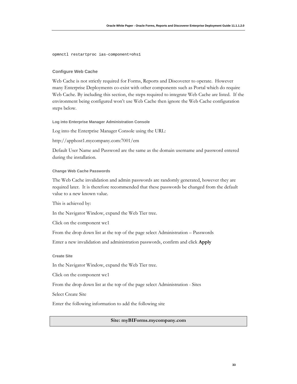opmnctl restartproc ias-component=ohs1

#### **Configure Web Cache**

Web Cache is not strictly required for Forms, Reports and Discoverer to operate. However many Enterprise Deployments co-exist with other components such as Portal which do require Web Cache. By including this section, the steps required to integrate Web Cache are listed. If the environment being configured won't use Web Cache then ignore the Web Cache configuration steps below.

#### **Log into Enterprise Manager Administration Console**

Log into the Enterprise Manager Console using the URL:

http://apphost1.mycompany.com:7001/em

Default User Name and Password are the same as the domain username and password entered during the installation.

#### **Change Web Cache Passwords**

The Web Cache invalidation and admin passwords are randomly generated, however they are required later. It is therefore recommended that these passwords be changed from the default value to a new known value.

This is achieved by:

In the Navigator Window, expand the Web Tier tree.

Click on the component wc1

From the drop down list at the top of the page select Administration – Passwords

Enter a new invalidation and administration passwords, confirm and click **Apply**

#### **Create Site**

In the Navigator Window, expand the Web Tier tree.

Click on the component wc1

From the drop down list at the top of the page select Administration - Sites

Select Create Site

Enter the following information to add the following site

#### **Site: myBIForms.mycompany.com**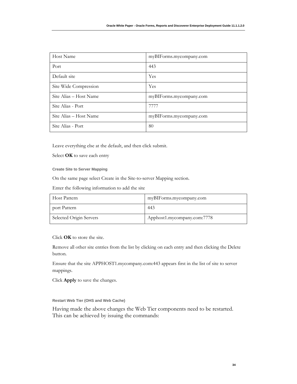| Host Name              | myBIForms.mycompany.com |
|------------------------|-------------------------|
| Port                   | 443                     |
| Default site           | Yes                     |
| Site Wide Compression  | Yes                     |
| Site Alias – Host Name | myBIForms.mycompany.com |
| Site Alias - Port      | 7777                    |
| Site Alias – Host Name | myBIForms.mycompany.com |
| Site Alias - Port      | 80                      |

Leave everything else at the default, and then click submit.

Select **OK** to save each entry

**Create Site to Server Mapping** 

On the same page select Create in the Site-to-server Mapping section.

Enter the following information to add the site

| Host Pattern            | myBIForms.mycompany.com     |
|-------------------------|-----------------------------|
| port Pattern            | 443                         |
| Selected Origin Servers | Apphost1.mycompany.com:7778 |

Click **OK** to store the site.

Remove all other site entries from the list by clicking on each entry and then clicking the Delete button.

Ensure that the site APPHOST1.mycompany.com:443 appears first in the list of site to server mappings.

Click **Apply** to save the changes.

**Restart Web Tier (OHS and Web Cache)**

Having made the above changes the Web Tier components need to be restarted. This can be achieved by issuing the commands: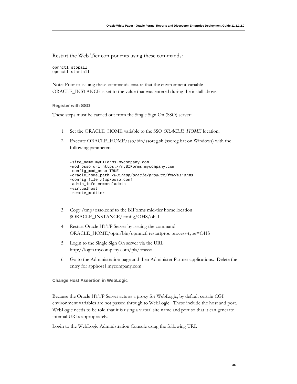Restart the Web Tier components using these commands:

opmnctl stopall opmnctl startall

Note: Prior to issuing these commands ensure that the environment variable ORACLE\_INSTANCE is set to the value that was entered during the install above.

#### **Register with SSO**

These steps must be carried out from the Single Sign On (SSO) server:

- 1. Set the ORACLE\_HOME variable to the SSO *ORACLE\_HOME* location.
- 2. Execute ORACLE\_HOME/sso/bin/ssoreg.sh (ssoreg.bat on Windows) with the following parameters

```
-site_name myBIForms.mycompany.com 
-mod_osso_url https://myBIForms.mycompany.com 
-config_mod_osso TRUE 
-oracle_home_path /u01/app/oracle/product/fmw/BIForms 
-config_file /tmp/osso.conf 
-admin_info cn=orcladmin 
-virtualhost 
-remote_midtier
```
- 3. Copy /tmp/osso.conf to the BIForms mid-tier home location \$ORACLE\_INSTANCE/config/OHS/ohs1
- 4. Restart Oracle HTTP Server by issuing the command ORACLE\_HOME/opm/bin/opmnctl restartproc process-type=OHS
- 5. Login to the Single Sign On server via the URL http://login.mycompany.com/pls/orasso
- 6. Go to the Administration page and then Administer Partner applications. Delete the entry for apphost1.mycompany.com

#### **Change Host Assertion in WebLogic**

Because the Oracle HTTP Server acts as a proxy for WebLogic, by default certain CGI environment variables are not passed through to WebLogic. These include the host and port. WebLogic needs to be told that it is using a virtual site name and port so that it can generate internal URLs appropriately.

Login to the WebLogic Administration Console using the following URL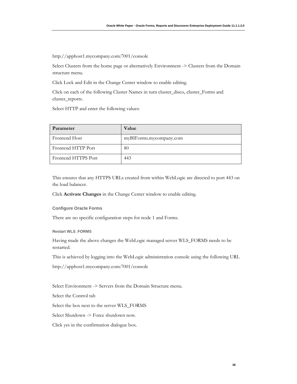http://apphost1.mycompany.com:7001/console

Select Clusters from the home page or alternatively Environment -> Clusters from the Domain structure menu.

Click Lock and Edit in the Change Center window to enable editing.

Click on each of the following Cluster Names in turn cluster\_disco, cluster\_Forms and cluster\_reports.

Select HTTP and enter the following values:

| Parameter           | <b>Value</b>            |
|---------------------|-------------------------|
| Frontend Host       | myBIForms.mycompany.com |
| Frontend HTTP Port  | 80                      |
| Frontend HTTPS Port | 443                     |

This ensures that any HTTPS URLs created from within WebLogic are directed to port 443 on the load balancer.

Click **Activate Changes** in the Change Center window to enable editing.

**Configure Oracle Forms**

There are no specific configuration steps for node 1 and Forms.

**Restart WLS\_FORMS** 

Having made the above changes the WebLogic managed server WLS\_FORMS needs to be restarted.

This is achieved by logging into the WebLogic administration console using the following URL

http://apphost1.mycompany.com:7001/console

Select Environment -> Servers from the Domain Structure menu.

Select the Control tab

Select the box next to the server WLS\_FORMS

Select Shutdown -> Force shutdown now.

Click yes in the confirmation dialogue box.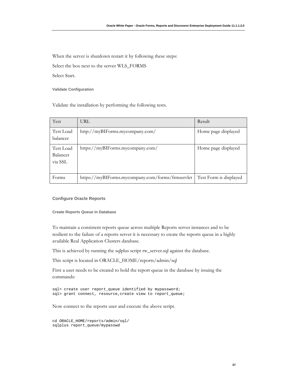When the server is shutdown restart it by following these steps:

Select the box next to the server WLS\_FORMS

Select Start.

**Validate Configuration** 

Validate the installation by performing the following tests.

| Test                             | URL                                              | Result                 |
|----------------------------------|--------------------------------------------------|------------------------|
| Test Load<br>balancer            | http://myBIForms.mycompany.com/                  | Home page displayed    |
| Test Load<br>Balancer<br>via SSL | https://myBIForms.mycompany.com/                 | Home page displayed    |
| Forms                            | https://myBIForms.mycompany.com/forms/frmservlet | Test Form is displayed |

### **Configure Oracle Reports**

**Create Reports Queue in Database** 

To maintain a consistent reports queue across multiple Reports server instances and to be resilient to the failure of a reports server it is necessary to create the reports queue in a highly available Real Application Clusters database.

This is achieved by running the sqlplus script rw\_server.sql against the database.

This script is located in ORACLE\_HOME/reports/admin/sql

First a user needs to be created to hold the report queue in the database by issuing the commands:

```
sql> create user report_queue identified by mypassword; 
sql> grant connect, resource, create view to report_queue;
```
Now connect to the reports user and execute the above script.

```
cd ORACLE_HOME/reports/admin/sql/ 
sqlplus report_queue/mypasswd
```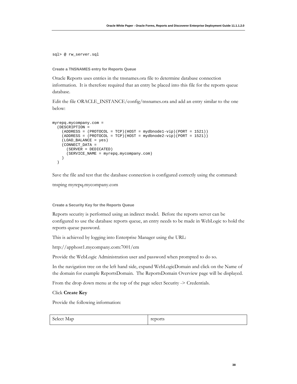sql> @ rw\_server.sql

### **Create a TNSNAMES entry for Reports Queue**

Oracle Reports uses entries in the tnsnames.ora file to determine database connection information. It is therefore required that an entry be placed into this file for the reports queue database.

Edit the file ORACLE\_INSTANCE/config/tnsnames.ora and add an entry similar to the one below:

```
myrepq.mycompany.com = 
   (DESCRIPTION = 
     (ADDRESS = (PROTOCOL = TCP)(HOST = mydbnode1-vip)(PORT = 1521)) 
    (ADDRESS = (PROTOCOL = TCP) (HOST = mydbnode2-vip) (PORT = 1521)) (LOAD_BALANCE = yes) 
     (CONNECT_DATA = 
       (SERVER = DEDICATED) 
       (SERVICE_NAME = myrepq.mycompany.com) 
     ) 
   )
```
Save the file and test that the database connection is configured correctly using the command:

tnsping myrepq.mycompany.com

### **Create a Security Key for the Reports Queue**

Reports security is performed using an indirect model. Before the reports server can be configured to use the database reports queue, an entry needs to be made in WebLogic to hold the reports queue password.

This is achieved by logging into Enterprise Manager using the URL:

http://apphost1.mycompany.com:7001/em

Provide the WebLogic Administration user and password when prompted to do so.

In the navigation tree on the left hand side, expand WebLogicDomain and click on the Name of the domain for example ReportsDomain. The ReportsDomain Overview page will be displayed.

From the drop down menu at the top of the page select Security -> Credentials.

Click **Create Key** 

Provide the following information:

| Select Map | reports |
|------------|---------|
|------------|---------|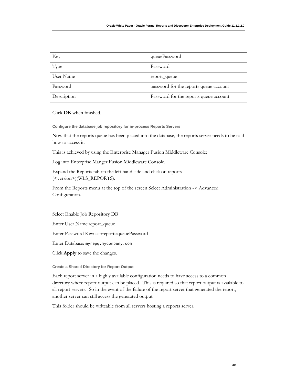| Key         | queuePassword                          |
|-------------|----------------------------------------|
| Type        | Password                               |
| User Name   | report_queue                           |
| Password    | password for the reports queue account |
| Description | Password for the reports queue account |

Click **OK** when finished.

**Configure the database job repository for in-process Reports Servers** 

Now that the reports queue has been placed into the database, the reports server needs to be told how to access it.

This is achieved by using the Enterprise Manager Fusion Middleware Console:

Log into Enterprise Manger Fusion Middleware Console.

Expand the Reports tab on the left hand side and click on reports (<version>)(WLS\_REPORTS).

From the Reports menu at the top of the screen Select Administration -> Advanced Configuration.

Select Enable Job Repository DB

Enter User Name:report\_queue

Enter Password Key: csf:reports:queuePassword

Enter Database: myrepq.mycompany.com

Click **Apply** to save the changes.

**Create a Shared Directory for Report Output** 

Each report server in a highly available configuration needs to have access to a common directory where report output can be placed. This is required so that report output is available to all report servers. So in the event of the failure of the report server that generated the report, another server can still access the generated output.

This folder should be writeable from all servers hosting a reports server.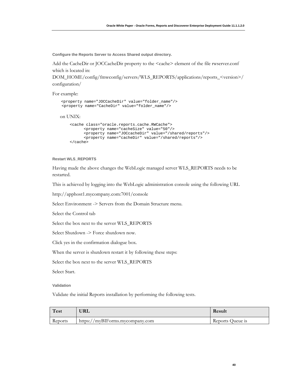**Configure the Reports Server to Access Shared output directory.**

Add the CacheDir or JOCCacheDir property to the <cache> element of the file rwserver.conf which is located in:

DOM\_HOME/config/fmwconfig/servers/WLS\_REPORTS/applications/reports\_<version>/ configuration/

For example:

```
 <property name="JOCCacheDir" value="folder_name"/> 
 <property name="CacheDir" value="folder_name"/> 
 on UNIX: 
    <cache class="oracle.reports.cache.RWCache"> 
           <property name="cacheSize" value="50"/> 
           <property name="JOCcacheDir" value="/shared/reports"/> 
           <property name="cacheDir" value="/shared/reports"/> 
    </cache>
```
### **Restart WLS\_REPORTS**

Having made the above changes the WebLogic managed server WLS\_REPORTS needs to be restarted.

This is achieved by logging into the WebLogic administration console using the following URL

http://apphost1.mycompany.com:7001/console

Select Environment -> Servers from the Domain Structure menu.

Select the Control tab

Select the box next to the server WLS\_REPORTS

Select Shutdown -> Force shutdown now.

Click yes in the confirmation dialogue box.

When the server is shutdown restart it by following these steps:

Select the box next to the server WLS\_REPORTS

Select Start.

**Validation** 

Validate the initial Reports installation by performing the following tests.

| Test    | URL                             | Result           |
|---------|---------------------------------|------------------|
| Reports | https://myBIForms.mycompany.com | Reports Oueue is |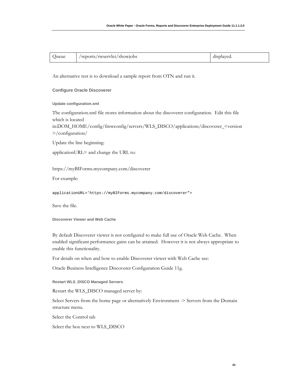| Queue | /reports/rwservlet/showjobs | displayed. |
|-------|-----------------------------|------------|
|-------|-----------------------------|------------|

An alternative test is to download a sample report from OTN and run it.

### **Configure Oracle Discoverer**

**Update configuration.xml** 

The configuration.xml file stores information about the discoverer configuration. Edit this file which is located

in:DOM\_HOME/config/fmwconfig/servers/WLS\_DISCO/applications/discoverer\_<version >/configuration/

Update the line beginning:

applicationURL= and change the URL to:

https://myBIForms.mycompany.com/discoverer

For example:

applicationURL='https://myBIForms.mycompany.com/discoverer">

Save the file.

**Discoverer Viewer and Web Cache** 

By default Discoverer viewer is not configured to make full use of Oracle Web Cache. When enabled significant performance gains can be attained. However it is not always appropriate to enable this functionality.

For details on when and how to enable Discoverer viewer with Web Cache see:

Oracle Business Intelligence Discoverer Configuration Guide 11g.

**Restart WLS\_DISCO Managed Servers** 

Restart the WLS\_DISCO managed server by:

Select Servers from the home page or alternatively Environment -> Servers from the Domain structure menu.

Select the Control tab

Select the box next to WLS\_DISCO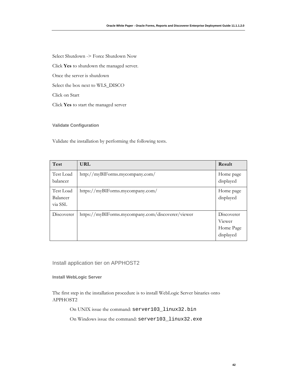Select Shutdown -> Force Shutdown Now

Click **Yes** to shutdown the managed server.

Once the server is shutdown

Select the box next to WLS\_DISCO

Click on Start

Click **Yes** to start the managed server

**Validate Configuration** 

Validate the installation by performing the following tests.

| Test                             | URL                                               | Result                                         |
|----------------------------------|---------------------------------------------------|------------------------------------------------|
| Test Load<br>balancer            | http://myBIForms.mycompany.com/                   | Home page<br>displayed                         |
| Test Load<br>Balancer<br>via SSL | https://myBIForms.mycompany.com/                  | Home page<br>displayed                         |
| Discoverer                       | https://myBIForms.mycompany.com/discoverer/viewer | Discoverer<br>Viewer<br>Home Page<br>displayed |

Install application tier on APPHOST2

**Install WebLogic Server** 

The first step in the installation procedure is to install WebLogic Server binaries onto APPHOST2

On UNIX issue the command: server103\_linux32.bin

On Windows issue the command: server103\_linux32.exe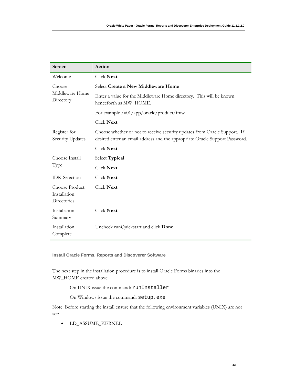| Screen                                        | Action                                                                                                                                                   |
|-----------------------------------------------|----------------------------------------------------------------------------------------------------------------------------------------------------------|
| Welcome                                       | Click Next.                                                                                                                                              |
| Choose                                        | Select Create a New Middleware Home                                                                                                                      |
| Middleware Home<br>Directory                  | Enter a value for the Middleware Home directory. This will be known<br>henceforth as MW_HOME.                                                            |
|                                               | For example /u01/app/oracle/product/fmw                                                                                                                  |
|                                               | Click Next.                                                                                                                                              |
| Register for<br>Security Updates              | Choose whether or not to receive security updates from Oracle Support. If<br>desired enter an email address and the appropriate Oracle Support Password. |
|                                               | Click Next                                                                                                                                               |
| Choose Install                                | Select Typical                                                                                                                                           |
| Type                                          | Click Next.                                                                                                                                              |
| <b>JDK</b> Selection                          | Click Next.                                                                                                                                              |
| Choose Product<br>Installation<br>Directories | Click Next.                                                                                                                                              |
| Installation<br>Summary                       | Click Next.                                                                                                                                              |
| Installation<br>Complete                      | Uncheck runQuickstart and click Done.                                                                                                                    |

**Install Oracle Forms, Reports and Discoverer Software** 

The next step in the installation procedure is to install Oracle Forms binaries into the MW\_HOME created above

On UNIX issue the command: runInstaller

On Windows issue the command: setup.exe

Note: Before starting the install ensure that the following environment variables (UNIX) are not set:

• LD\_ASSUME\_KERNEL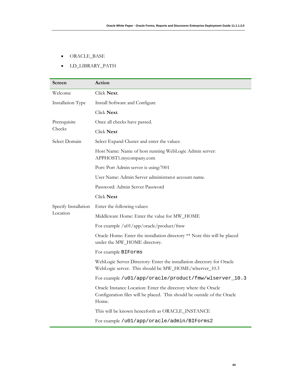- ORACLE\_BASE
- LD\_LIBRARY\_PATH

| Screen               | Action                                                                                                                                              |  |
|----------------------|-----------------------------------------------------------------------------------------------------------------------------------------------------|--|
| Welcome              | Click Next.                                                                                                                                         |  |
| Installation Type    | Install Software and Configure                                                                                                                      |  |
|                      | Click Next.                                                                                                                                         |  |
| Prerequisite         | Once all checks have passed.                                                                                                                        |  |
| Checks               | Click Next                                                                                                                                          |  |
| Select Domain        | Select Expand Cluster and enter the values:                                                                                                         |  |
|                      | Host Name: Name of host running WebLogic Admin server:<br>APPHOST1.mycompany.com                                                                    |  |
|                      | Port: Port Admin server is using:7001                                                                                                               |  |
|                      | User Name: Admin Server administrator account name.                                                                                                 |  |
|                      | Password: Admin Server Password                                                                                                                     |  |
|                      | Click Next                                                                                                                                          |  |
| Specify Installation | Enter the following values:                                                                                                                         |  |
| Location             | Middleware Home: Enter the value for MW_HOME                                                                                                        |  |
|                      | For example /u01/app/oracle/product/fmw                                                                                                             |  |
|                      | Oracle Home: Enter the installation directory ** Note this will be placed<br>under the MW_HOME directory.                                           |  |
|                      | For example BIForms                                                                                                                                 |  |
|                      | WebLogic Server Directory: Enter the installation directory for Oracle<br>WebLogic server. This should be MW_HOME/wlserver_10.3                     |  |
|                      | For example /u01/app/oracle/product/fmw/wlserver_10.3                                                                                               |  |
|                      | Oracle Instance Location: Enter the directory where the Oracle<br>Configuration files will be placed. This should be outside of the Oracle<br>Home. |  |
|                      | This will be known henceforth as ORACLE_INSTANCE                                                                                                    |  |
|                      | For example /u01/app/oracle/admin/BIForms2                                                                                                          |  |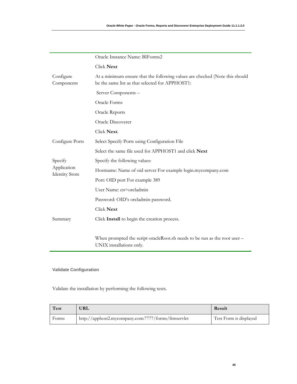|                                      | Oracle Instance Name: BIForms2                                                                                                 |  |
|--------------------------------------|--------------------------------------------------------------------------------------------------------------------------------|--|
|                                      | Click Next                                                                                                                     |  |
| Configure<br>Components              | At a minimum ensure that the following values are checked (Note this should<br>be the same list as that selected for APPHOST1: |  |
|                                      | Server Components -                                                                                                            |  |
|                                      | Oracle Forms                                                                                                                   |  |
|                                      | Oracle Reports                                                                                                                 |  |
|                                      | Oracle Discoverer                                                                                                              |  |
|                                      | Click Next.                                                                                                                    |  |
| Configure Ports                      | Select Specify Ports using Configuration File                                                                                  |  |
|                                      | Select the same file used for APPHOST1 and click Next                                                                          |  |
| Specify                              | Specify the following values:                                                                                                  |  |
| Application<br><b>Identity Store</b> | Hostname: Name of oid server For example login.mycompany.com                                                                   |  |
|                                      | Port: OID port For example 389                                                                                                 |  |
|                                      | User Name: cn=orcladmin                                                                                                        |  |
|                                      | Password: OID's orcladmin password.                                                                                            |  |
|                                      | Click Next                                                                                                                     |  |
| Summary                              | Click Install to begin the creation process.                                                                                   |  |
|                                      |                                                                                                                                |  |
|                                      | When prompted the script oracleRoot.sh needs to be run as the root user –<br>UNIX installations only.                          |  |

# **Validate Configuration**

Validate the installation by performing the following tests.

| Test  | URL                                                 | Result                 |
|-------|-----------------------------------------------------|------------------------|
| Forms | http://apphost2.mycompany.com:7777/forms/frmservlet | Test Form is displayed |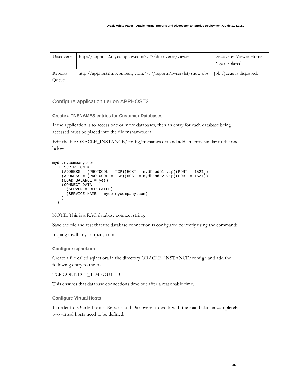| Discoverer       | http://apphost2.mycompany.com:7777/discoverer/viewer                                    | Discoverer Viewer Home<br>Page displayed |
|------------------|-----------------------------------------------------------------------------------------|------------------------------------------|
| Reports<br>Queue | http://apphost2.mycompany.com:7777/reports/rwservlet/showjobs   Job Queue is displayed. |                                          |

Configure application tier on APPHOST2

### **Create a TNSNAMES entries for Customer Databases**

If the application is to access one or more databases, then an entry for each database being accessed must be placed into the file tnsnames.ora.

Edit the file ORACLE\_INSTANCE/config/tnsnames.ora and add an entry similar to the one below:

```
mydb.mycompany.com = 
   (DESCRIPTION = 
    (ADDRESS = (PROTOCOL = TCP) (HOST = mydbnode1-vip) (PORT = 1521))(ADDRESS = (PROTOCOL = TCP) (HOST = mydbnode2-vip) (PORT = 1521)) (LOAD_BALANCE = yes) 
     (CONNECT_DATA = 
       (SERVER = DEDICATED) 
       (SERVICE_NAME = mydb.mycompany.com) 
     ) 
  \lambda
```
NOTE: This is a RAC database connect string.

Save the file and test that the database connection is configured correctly using the command:

tnsping mydb.mycompany.com

### **Configure sqlnet.ora**

Create a file called sqlnet.ora in the directory ORACLE\_INSTANCE/config/ and add the following entry to the file:

TCP.CONNECT\_TIMEOUT=10

This ensures that database connections time out after a reasonable time.

### **Configure Virtual Hosts**

In order for Oracle Forms, Reports and Discoverer to work with the load balancer completely two virtual hosts need to be defined.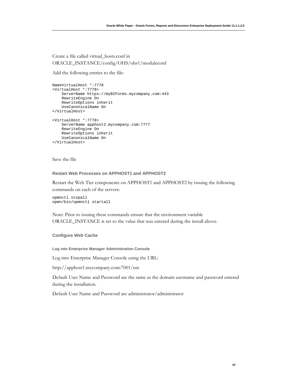Create a file called virtual\_hosts.conf in ORACLE\_INSTANCE/config/OHS/ohs1/moduleconf

Add the following entries to the file:

```
NameVirtualHost *:7778 
<VirtualHost *:7778> 
     ServerName https://myBIForms.mycompany.com:443 
     RewriteEngine On 
     RewriteOptions inherit 
     UseCanonicalName On 
</VirtualHost> 
<VirtualHost *:7778> 
     ServerName apphost2.mycompany.com:7777 
     RewriteEngine On 
     RewriteOptions inherit 
    UseCanonicalName On 
</VirtualHost>
```
Save the file

### **Restart Web Processes on APPHOST1 and APPHOST2**

Restart the Web Tier components on APPHOST1 and APPHOST2 by issuing the following commands on each of the servers:

```
opmnctl stopall 
opmn/bin/opmnctl startall
```
Note: Prior to issuing these commands ensure that the environment variable ORACLE\_INSTANCE is set to the value that was entered during the install above.

### **Configure Web Cache**

**Log into Enterprise Manager Administration Console** 

Log into Enterprise Manager Console using the URL:

http://apphost1.mycompany.com:7001/em

Default User Name and Password are the same as the domain username and password entered during the installation.

Default User Name and Password are administrator/administrator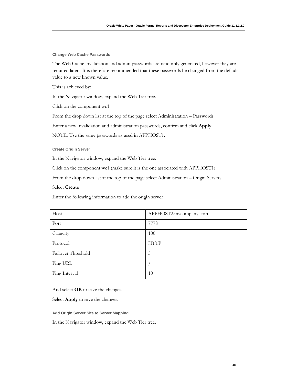**Change Web Cache Passwords** 

The Web Cache invalidation and admin passwords are randomly generated, however they are required later. It is therefore recommended that these passwords be changed from the default value to a new known value.

This is achieved by:

In the Navigator window, expand the Web Tier tree.

Click on the component wc1

From the drop down list at the top of the page select Administration – Passwords

Enter a new invalidation and administration passwords, confirm and click **Apply**

NOTE: Use the same passwords as used in APPHOST1.

**Create Origin Server** 

In the Navigator window, expand the Web Tier tree.

Click on the component wc1 (make sure it is the one associated with APPHOST1)

From the drop down list at the top of the page select Administration – Origin Servers

# Select **Create**

Enter the following information to add the origin server

| Host               | APPHOST2.mycompany.com |
|--------------------|------------------------|
| Port               | 7778                   |
| Capacity           | 100                    |
| Protocol           | <b>HTTP</b>            |
| Failover Threshold | 5                      |
| Ping URL           |                        |
| Ping Interval      | 10                     |

And select **OK** to save the changes.

Select **Apply** to save the changes.

**Add Origin Server Site to Server Mapping** 

In the Navigator window, expand the Web Tier tree.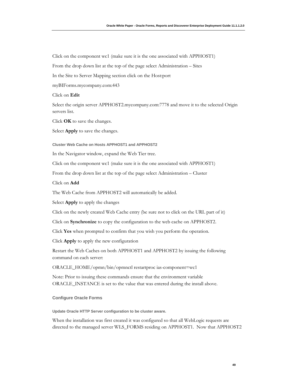Click on the component wc1 (make sure it is the one associated with APPHOST1)

From the drop down list at the top of the page select Administration – Sites

In the Site to Server Mapping section click on the Host:port

myBIForms.mycompany.com:443

Click on **Edit** 

Select the origin server APPHOST2.mycompany.com:7778 and move it to the selected Origin servers list.

Click **OK** to save the changes.

Select **Apply** to save the changes.

**Cluster Web Cache on Hosts APPHOST1 and APPHOST2**

In the Navigator window, expand the Web Tier tree.

Click on the component wc1 (make sure it is the one associated with APPHOST1)

From the drop down list at the top of the page select Administration – Cluster

Click on **Add**

The Web Cache from APPHOST2 will automatically be added.

Select **Apply** to apply the changes

Click on the newly created Web Cache entry (be sure not to click on the URL part of it)

Click on **Synchronize** to copy the configuration to the web cache on APPHOST2.

Click **Yes** when prompted to confirm that you wish you perform the operation.

Click **Apply** to apply the new configuration

Restart the Web Caches on both APPHOST1 and APPHOST2 by issuing the following command on each server:

ORACLE\_HOME/opmn/bin/opmnctl restartproc ias-component=wc1

Note: Prior to issuing these commands ensure that the environment variable ORACLE\_INSTANCE is set to the value that was entered during the install above.

#### **Configure Oracle Forms**

**Update Oracle HTTP Server configuration to be cluster aware.**

When the installation was first created it was configured so that all WebLogic requests are directed to the managed server WLS\_FORMS residing on APPHOST1. Now that APPHOST2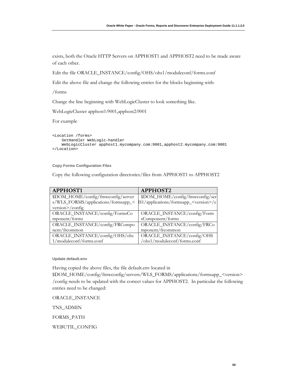exists, both the Oracle HTTP Servers on APPHOST1 and APPHOST2 need to be made aware of each other.

Edit the file ORACLE\_INSTANCE/config/OHS/ohs1/moduleconf/forms.conf

Edit the above file and change the following entries for the blocks beginning with:

/forms

Change the line beginning with WebLogicCluster to look something like.

WebLogicCluster apphost1:9001,apphost2:9001

For example

```
<Location /forms> 
     SetHandler WebLogic-handler 
     WebLogicCluster apphost1.mycompany.com:9001,apphost2.mycompany.com:9001 
</Location>
```
**Copy Forms Configuration Files** 

Copy the following configuration directories/files from APPHOST1 to APPHOST2

| <b>APPHOST1</b>                     | <b>APPHOST2</b>                                  |
|-------------------------------------|--------------------------------------------------|
| \$DOM_HOME/config/fmwconfig/server  | \$DOM_HOME/config/fmwconfig/ser                  |
| s/WLS_FORMS/applications/formsapp_< | IS1/applications/formsapp_ <version>/c</version> |
| version>/config                     |                                                  |
| ORACLE_INSTANCE/config/FormsCo      | ORACLE_INSTANCE/config/Form                      |
| mponent/forms                       | sComponent/forms                                 |
| ORACLE_INSTANCE/config/FRCompo      | ORACLE_INSTANCE/config/FRCo                      |
| nent/frcommon                       | mponent/frcommon                                 |
| ORACLE_INSTANCE/config/OHS/ohs      | ORACLE_INSTANCE/config/OHS                       |
| 1/moduleconf/forms.conf             | /ohs1/moduleconf/forms.conf                      |

**Update default.env**

Having copied the above files, the file default.env located in

\$DOM\_HOME/config/fmwconfig/servers/WLS\_FORMS/applications/formsapp\_<version> /config needs to be updated with the correct values for APPHOST2. In particular the following entries need to be changed:

ORACLE\_INSTANCE

TNS\_ADMIN

FORMS\_PATH

WEBUTIL\_CONFIG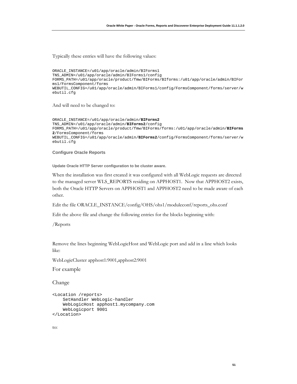Typically these entries will have the following values:

```
ORACLE_INSTANCE=/u01/app/oracle/admin/BIForms1 
TNS_ADMIN=/u01/app/oracle/admin/BIForms1/config 
FORMS_PATH=/u01/app/oracle/product/fmw/BIForms/BIforms:/u01/app/oracle/admin/BIFor
ms1/FormsComponent/forms 
WEBUTIL_CONFIG=/u01/app/oracle/admin/BIForms1/config/FormsComponent/forms/server/w
ebutil.cfg
```
And will need to be changed to:

```
ORACLE_INSTANCE=/u01/app/oracle/admin/BIForms2
TNS_ADMIN=/u01/app/oracle/admin/BIForms2/config 
FORMS_PATH=/u01/app/oracle/product/fmw/BIForms/forms:/u01/app/oracle/admin/BIForms
2/FormsComponent/forms 
WEBUTIL_CONFIG=/u01/app/oracle/admin/BIForms2/config/FormsComponent/forms/server/w
ebutil.cfg
```
**Configure Oracle Reports**

**Update Oracle HTTP Server configuration to be cluster aware.**

When the installation was first created it was configured with all WebLogic requests are directed to the managed server WLS\_REPORTS residing on APPHOST1. Now that APPHOST2 exists, both the Oracle HTTP Servers on APPHOST1 and APPHOST2 need to be made aware of each other.

Edit the file ORACLE\_INSTANCE/config/OHS/ohs1/moduleconf/reports\_ohs.conf

Edit the above file and change the following entries for the blocks beginning with:

/Reports

Remove the lines beginning WebLogicHost and WebLogic port and add in a line which looks like:

WebLogicCluster apphost1:9001,apphost2:9001

For example

Change

```
<Location /reports> 
     SetHandler WebLogic-handler 
     WebLogicHost apphost1.mycompany.com 
     WebLogicport 9001 
</Location>
```
to: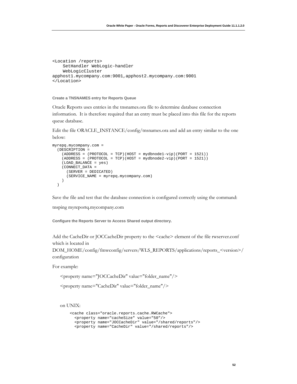```
<Location /reports> 
     SetHandler WebLogic-handler 
     WebLogicCluster 
apphost1.mycompany.com:9001,apphost2.mycompany.com:9001 
</Location>
```
### **Create a TNSNAMES entry for Reports Queue**

Oracle Reports uses entries in the tnsnames.ora file to determine database connection information. It is therefore required that an entry must be placed into this file for the reports queue database.

Edit the file ORACLE\_INSTANCE/config/tnsnames.ora and add an entry similar to the one below:

```
myrepq.mycompany.com = 
   (DESCRIPTION = 
     (ADDRESS = (PROTOCOL = TCP)(HOST = mydbnode1-vip)(PORT = 1521)) 
    (ADDRESS = (PROTOCOL = TCP) (HOST = mydbnode2-vip) (PORT = 1521)) (LOAD_BALANCE = yes) 
     (CONNECT_DATA = 
       (SERVER = DEDICATED) 
       (SERVICE_NAME = myrepq.mycompany.com) 
     ) 
   )
```
Save the file and test that the database connection is configured correctly using the command:

tnsping myreportq.mycompany.com

**Configure the Reports Server to Access Shared output directory.**

Add the CacheDir or JOCCacheDir property to the <cache> element of the file rwserver.conf which is located in

DOM\_HOME/config/fmwconfig/servers/WLS\_REPORTS/applications/reports\_<version>/ configuration

For example:

<property name="JOCCacheDir" value="folder\_name"/>

<property name="CacheDir" value="folder\_name"/>

on UNIX:

```
<cache class="oracle.reports.cache.RWCache"> 
  <property name="cacheSize" value="50"/> 
  <property name="JOCCacheDir" value="/shared/reports"/> 
   <property name="CacheDir" value="/shared/reports"/>
```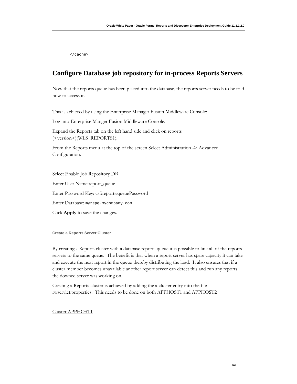</cache>

# **Configure Database job repository for in-process Reports Servers**

Now that the reports queue has been placed into the database, the reports server needs to be told how to access it.

This is achieved by using the Enterprise Manager Fusion Middleware Console:

Log into Enterprise Manger Fusion Middleware Console.

Expand the Reports tab on the left hand side and click on reports (<version>)(WLS\_REPORTS1).

From the Reports menu at the top of the screen Select Administration -> Advanced Configuration.

Select Enable Job Repository DB Enter User Name:report\_queue Enter Password Key: csf:reports:queuePassword Enter Database: myrepq.mycompany.com Click **Apply** to save the changes.

**Create a Reports Server Cluster**

By creating a Reports cluster with a database reports queue it is possible to link all of the reports servers to the same queue. The benefit is that when a report server has spare capacity it can take and execute the next report in the queue thereby distributing the load. It also ensures that if a cluster member becomes unavailable another report server can detect this and run any reports the downed server was working on.

Creating a Reports cluster is achieved by adding the a cluster entry into the file rwservlet.properties. This needs to be done on both APPHOST1 and APPHOST2

Cluster APPHOST1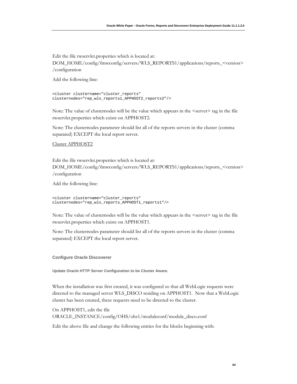Edit the file rwservlet.properties which is located at: DOM\_HOME/config/fmwconfig/servers/WLS\_REPORTS1/applications/reports\_<version> /configuration

Add the following line:

```
<cluster clustername="cluster_reports" 
clusternodes="rep_wls_reports1_APPHOST2_reports2"/>
```
Note: The value of clusternodes will be the value which appears in the  $\leq$ server $\geq$  tag in the file rwservlet.properties which exists on APPHOST2.

Note: The clusternodes parameter should list all of the reports servers in the cluster (comma separated) EXCEPT the local report server.

Cluster APPHOST2

Edit the file rwservlet.properties which is located at: DOM\_HOME/config/fmwconfig/servers/WLS\_REPORTS1/applications/reports\_<version> /configuration

Add the following line:

```
<cluster clustername="cluster_reports" 
clusternodes="rep_wls_reports_APPHOST1_reports1"/>
```
Note: The value of clusternodes will be the value which appears in the  $\leq$ server $\geq$  tag in the file rwservlet.properties which exists on APPHOST1.

Note: The clusternodes parameter should list all of the reports servers in the cluster (comma separated) EXCEPT the local report server.

**Configure Oracle Discoverer** 

**Update Oracle HTTP Server Configuration to be Cluster Aware.** 

When the installation was first created, it was configured so that all WebLogic requests were directed to the managed server WLS\_DISCO residing on APPHOST1. Now that a WebLogic cluster has been created, these requests need to be directed to the cluster.

On APPHOST1, edit the file ORACLE\_INSTANCE/config/OHS/ohs1/moduleconf/module\_disco.conf

Edit the above file and change the following entries for the blocks beginning with: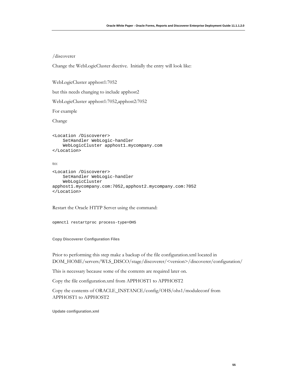### /discoverer

Change the WebLogicCluster diective. Initially the entry will look like:

WebLogicCluster apphost1:7052

but this needs changing to include apphost2

WebLogicCluster apphost1:7052,apphost2:7052

For example

Change

```
<Location /Discoverer> 
     SetHandler WebLogic-handler 
     WebLogicCluster apphost1.mycompany.com 
</Location>
```
to:

```
<Location /Discoverer> 
     SetHandler WebLogic-handler 
     WebLogicCluster 
apphost1.mycompany.com:7052,apphost2.mycompany.com:7052 
</Location>
```
Restart the Oracle HTTP Server using the command:

opmnctl restartproc process-type=OHS

**Copy Discoverer Configuration Files** 

Prior to performing this step make a backup of the file configuration.xml located in DOM\_HOME/servers/WLS\_DISCO/stage/discoverer/<version>/discoverer/configuration/

This is necessary because some of the contents are required later on.

Copy the file configuration.xml from APPHOST1 to APPHOST2

Copy the contents of ORACLE\_INSTANCE/config/OHS/ohs1/moduleconf from APPHOST1 to APPHOST2

**Update configuration.xml**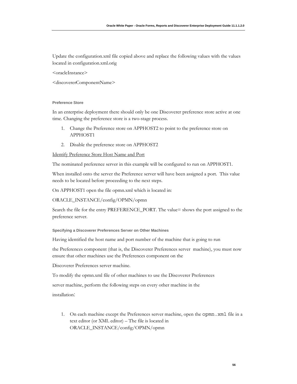Update the configuration.xml file copied above and replace the following values with the values located in configuration.xml.orig

<oracleInstance>

<discovererComponentName>

### **Preference Store**

In an enterprise deployment there should only be one Discoverer preference store active at one time. Changing the preference store is a two-stage process.

- 1. Change the Preference store on APPHOST2 to point to the preference store on APPHOST1
- 2. Disable the preference store on APPHOST2

Identify Preference Store Host Name and Port

The nominated preference server in this example will be configured to run on APPHOST1.

When installed onto the server the Preference server will have been assigned a port. This value needs to be located before proceeding to the next steps.

On APPHOST1 open the file opmn.xml which is located in:

ORACLE\_INSTANCE/config/OPMN/opmn

Search the file for the entry PREFERENCE\_PORT. The value= shows the port assigned to the preference server.

**Specifying a Discoverer Preferences Server on Other Machines** 

Having identified the host name and port number of the machine that is going to run

the Preferences component (that is, the Discoverer Preferences server machine), you must now ensure that other machines use the Preferences component on the

Discoverer Preferences server machine.

To modify the opmn.xml file of other machines to use the Discoverer Preferences

server machine, perform the following steps on every other machine in the

installation:

1. On each machine except the Preferences server machine, open the opmn.xml file in a text editor (or XML editor) – The file is located in ORACLE\_INSTANCE/config/OPMN/opmn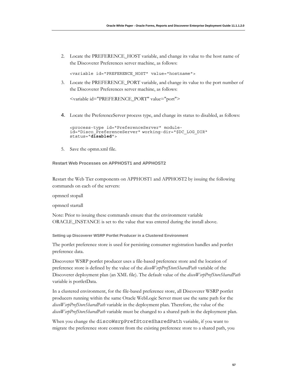2. Locate the PREFERENCE\_HOST variable, and change its value to the host name of the Discoverer Preferences server machine, as follows:

<variable id="PREFERENCE\_HOST" value="hostname">

3. Locate the PREFERENCE\_PORT variable, and change its value to the port number of the Discoverer Preferences server machine, as follows:

<variable id="PREFERENCE\_PORT" value="port">

4. Locate the PreferenceServer process type, and change its status to disabled, as follows:

```
<process-type id="PreferenceServer" module-
id="Disco_PreferenceServer" working-dir="$DC_LOG_DIR" 
status="disabled">
```
5. Save the opmn.xml file.

## **Restart Web Processes on APPHOST1 and APPHOST2**

Restart the Web Tier components on APPHOST1 and APPHOST2 by issuing the following commands on each of the servers:

opmnctl stopall

opmnctl startall

Note: Prior to issuing these commands ensure that the environment variable ORACLE\_INSTANCE is set to the value that was entered during the install above.

**Setting up Discoverer WSRP Portlet Producer in a Clustered Environment** 

The portlet preference store is used for persisting consumer registration handles and portlet preference data.

Discoverer WSRP portlet producer uses a file-based preference store and the location of preference store is defined by the value of the *discoWsrpPrefStoreSharedPath* variable of the Discoverer deployment plan (an XML file). The default value of the *discoWsrpPrefStoreSharedPath* variable is portletData.

In a clustered environment, for the file-based preference store, all Discoverer WSRP portlet producers running within the same Oracle WebLogic Server must use the same path for the *discoWsrpPrefStoreSharedPath* variable in the deployment plan. Therefore, the value of the *discoWsrpPrefStoreSharedPath* variable must be changed to a shared path in the deployment plan.

When you change the discoWsrpPrefStoreSharedPath variable, if you want to migrate the preference store content from the existing preference store to a shared path, you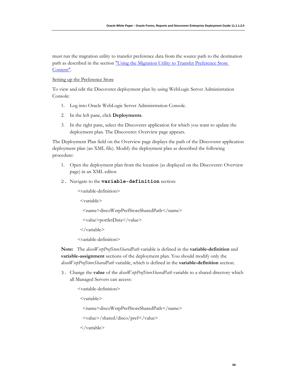must run the migration utility to transfer preference data from the source path to the destination path as described in the section "Using the Migration Utility to Transfer Preference Store Content".

### Setting up the Preference Store

To view and edit the Discoverer deployment plan by using WebLogic Server Administration Console:

- 1. Log into Oracle WebLogic Server Administration Console.
- 2. In the left pane, click **Deployments**.
- 3. In the right pane, select the Discoverer application for which you want to update the deployment plan. The Discoverer: Overview page appears.

The Deployment Plan field on the Overview page displays the path of the Discoverer application deployment plan (an XML file). Modify the deployment plan as described the following procedure:

- 1. Open the deployment plan from the location (as displayed on the Discoverer: Overview page) in an XML editor.
- 2. Navigate to the **variable-definition** section:

<variable-definition>

<variable>

<name>discoWsrpPrefStoreSharedPath</name>

<value>portletData</value>

 $\langle \nabla \times \nabla \times \nabla \times \nabla \times \nabla \times \nabla \times \nabla \times \nabla \times \nabla \times \nabla \times \nabla \times \nabla \times \nabla \times \nabla \times \nabla \times \nabla \times \nabla \times \nabla \times \nabla \times \nabla \times \nabla \times \nabla \times \nabla \times \nabla \times \nabla \times \nabla \times \nabla \times \nabla \times \nabla \times \nabla \times \nabla \times \nabla \times \nabla \times \nabla \times \nabla \times \nabla \times \n$ 

<variable-definition>

**Note:**The *discoWsrpPrefStoreSharedPath* variable is defined in the **variable-definition** and **variable-assignment** sections of the deployment plan. You should modify only the *discoWsrpPrefStoreSharedPath* variable, which is defined in the **variable-definition** section.

3. Change the **value** of the *discoWsrpPrefStoreSharedPath* variable to a shared directory which all Managed Servers can access:

<variable-definition>

<variable>

<name>discoWsrpPrefStoreSharedPath</name>

<value>/shared/disco/pref</value>

 $\langle$  variable $>$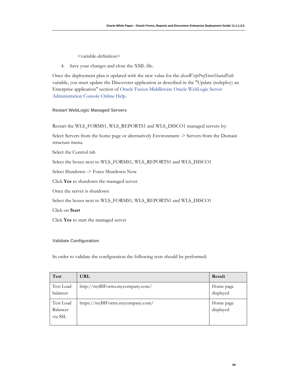<variable-definition>

4. Save your changes and close the XML file.

Once the deployment plan is updated with the new value for the *discoWsrpPrefStoreSharedPath* variable, you must update the Discoverer application as described in the "Update (redeploy) an Enterprise application" section of Oracle Fusion Middleware Oracle WebLogic Server Administration Console Online Help.

### **Restart WebLogic Managed Servers**

Restart the WLS\_FORMS1, WLS\_REPORTS1 and WLS\_DISCO1 managed servers by:

Select Servers from the home page or alternatively Environment -> Servers from the Domain structure menu.

Select the Control tab

Select the boxes next to WLS\_FORMS1, WLS\_REPORTS1 and WLS\_DISCO1

Select Shutdown -> Force Shutdown Now

Click **Yes** to shutdown the managed server.

Once the server is shutdown

Select the boxes next to WLS\_FORMS1, WLS\_REPORTS1 and WLS\_DISCO1

Click on **Start**

Click **Yes** to start the managed server

### **Validate Configuration**

In order to validate the configuration the following tests should be performed:

| <b>Test</b>                      | <b>URL</b>                       | Result                 |
|----------------------------------|----------------------------------|------------------------|
| Test Load<br>balancer            | http://myBIForms.mycompany.com/  | Home page<br>displayed |
| Test Load<br>Balancer<br>via SSL | https://myBIForms.mycompany.com/ | Home page<br>displayed |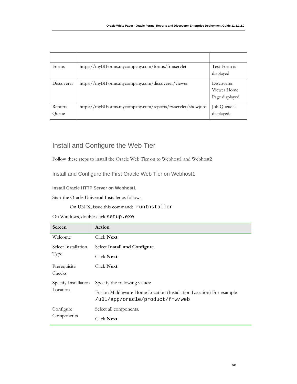| Forms            | https://myBIForms.mycompany.com/forms/frmservlet           | Test Form is<br>displayed                   |
|------------------|------------------------------------------------------------|---------------------------------------------|
| Discoverer       | https://myBIForms.mycompany.com/discoverer/viewer          | Discoverer<br>Viewer Home<br>Page displayed |
| Reports<br>Queue | https://myBIForms.mycompany.com/reports/rwservlet/showjobs | Job Queue is<br>displayed.                  |

# Install and Configure the Web Tier

Follow these steps to install the Oracle Web Tier on to Webhost1 and Webhost2

Install and Configure the First Oracle Web Tier on Webhost1

# **Install Oracle HTTP Server on Webhost1**

Start the Oracle Universal Installer as follows:

On UNIX, issue this command: runInstaller

On Windows, double-click setup.exe

| <b>Screen</b>          | Action                                                                                                 |
|------------------------|--------------------------------------------------------------------------------------------------------|
| Welcome                | Click Next.                                                                                            |
| Select Installation    | Select Install and Configure.                                                                          |
| Type                   | Click Next.                                                                                            |
| Prerequisite<br>Checks | Click Next.                                                                                            |
| Specify Installation   | Specify the following values:                                                                          |
| Location               | Fusion Middleware Home Location (Installation Location) For example<br>/u01/app/oracle/product/fmw/web |
| Configure              | Select all components.                                                                                 |
| Components             | Click <b>Next</b> .                                                                                    |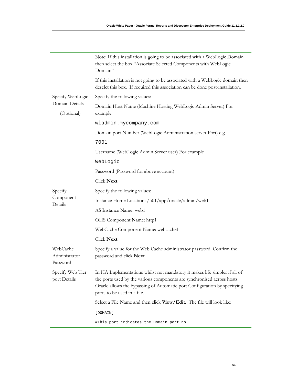|                                       | Note: If this installation is going to be associated with a WebLogic Domain<br>then select the box "Associate Selected Components with WebLogic<br>Domain"                                                                                                                         |
|---------------------------------------|------------------------------------------------------------------------------------------------------------------------------------------------------------------------------------------------------------------------------------------------------------------------------------|
|                                       | If this installation is not going to be associated with a WebLogic domain then<br>deselct this box. If required this association can be done post-installation.                                                                                                                    |
| Specify WebLogic                      | Specify the following values:                                                                                                                                                                                                                                                      |
| Domain Details<br>(Optional)          | Domain Host Name (Machine Hosting WebLogic Admin Server) For<br>example                                                                                                                                                                                                            |
|                                       | wladmin.mycompany.com                                                                                                                                                                                                                                                              |
|                                       | Domain port Number (WebLogic Administration server Port) e.g.                                                                                                                                                                                                                      |
|                                       | 7001                                                                                                                                                                                                                                                                               |
|                                       | Username (WebLogic Admin Server user) For example                                                                                                                                                                                                                                  |
|                                       | WebLogic                                                                                                                                                                                                                                                                           |
|                                       | Password (Password for above account)                                                                                                                                                                                                                                              |
|                                       | Click Next.                                                                                                                                                                                                                                                                        |
| Specify                               | Specify the following values:                                                                                                                                                                                                                                                      |
| Component<br>Details                  | Instance Home Location: /u01/app/oracle/admin/web1                                                                                                                                                                                                                                 |
|                                       | AS Instance Name: web1                                                                                                                                                                                                                                                             |
|                                       | OHS Component Name: http1                                                                                                                                                                                                                                                          |
|                                       | WebCache Component Name: webcache1                                                                                                                                                                                                                                                 |
|                                       | Click Next.                                                                                                                                                                                                                                                                        |
| WebCache<br>Administrator<br>Password | Specify a value for the Web Cache administrator password. Confirm the<br>password and click Next                                                                                                                                                                                   |
| port Details                          | Specify Web Tier In HA Implementations whilst not mandatory it makes life simpler if all of<br>the ports used by the various components are synchronised across hosts.<br>Oracle allows the bypassing of Automatic port Configuration by specifying<br>ports to be used in a file. |
|                                       | Select a File Name and then click View/Edit. The file will look like:                                                                                                                                                                                                              |
|                                       | [DOMAIN]                                                                                                                                                                                                                                                                           |
|                                       | #This port indicates the Domain port no                                                                                                                                                                                                                                            |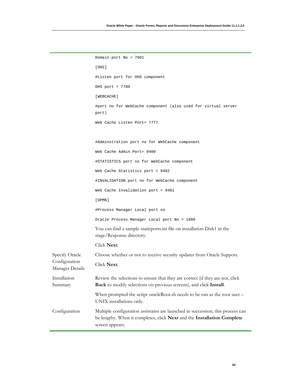```
Domain port No = 7001 
                    [OHS] 
                    #Listen port for OHS component 
                    OHS port = 7780 
                    [WEBCACHE] 
                    #port no for WebCache component (also used for virtual server 
                    port) 
                    Web Cache Listen Port= 7777 
                    #Adminstration port no for WebCache component 
                    Web Cache Admin Port= 9400 
                    #STATISTICS port no for WebCache component 
                    Web Cache Statistics port = 9402 
                    #INVALIDATION port no for WebCache component 
                    Web Cache Invalidation port = 9401 
                    [OPMN] 
                    #Process Manager Local port no 
                    Oracle Process Manager Local port No = 1880 
                    You can find a sample staticports.ini file on installation Disk1 in the 
                    stage/Response directory. 
                    Click Next. 
Specify Oracle 
Configuration 
Manager Details 
                    Choose whether or not to receive security updates from Oracle Support. 
                    Click Next. 
Installation 
Summary 
                    Review the selections to ensure that they are correct (if they are not, click 
                    Back to modify selections on previous screens), and click Install. 
                    When prompted the script oracleRoot.sh needs to be run as the root user –
                    UNIX installations only.
Configuration Multiple configuration assistants are launched in succession; this process can 
                    be lengthy. When it completes, click Next and the Installation Complete 
                    screen appears.
```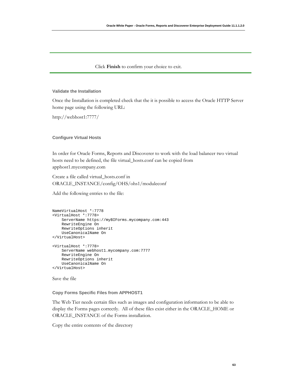### Click **Finish** to confirm your choice to exit.

### **Validate the Installation**

Once the Installation is completed check that the it is possible to access the Oracle HTTP Server home page using the following URL:

http://webhost1:7777/

### **Configure Virtual Hosts**

In order for Oracle Forms, Reports and Discoverer to work with the load balancer two virtual hosts need to be defined, the file virtual\_hosts.conf can be copied from apphost1.mycompany.com

Create a file called virtual\_hosts.conf in ORACLE\_INSTANCE/config/OHS/ohs1/moduleconf

Add the following entries to the file:

```
NameVirtualHost *:7778 
<VirtualHost *:7778> 
     ServerName https://myBIForms.mycompany.com:443 
     RewriteEngine On 
     RewriteOptions inherit 
     UseCanonicalName On 
</VirtualHost> 
<VirtualHost *:7778> 
     ServerName webhost1.mycompany.com:7777 
     RewriteEngine On 
     RewriteOptions inherit 
     UseCanonicalName On 
</VirtualHost>
```
Save the file

### **Copy Forms Specific Files from APPHOST1**

The Web Tier needs certain files such as images and configuration information to be able to display the Forms pages correctly. All of these files exist either in the ORACLE\_HOME or ORACLE\_INSTANCE of the Forms installation.

Copy the entire contents of the directory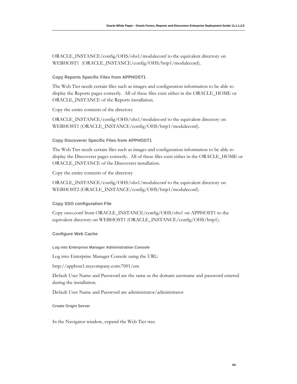ORACLE\_INSTANCE/config/OHS/ohs1/moduleconf to the equivalent directory on WEBHOST1 (ORACLE\_INSTANCE/config/OHS/http1/moduleconf).

### **Copy Reports Specific Files from APPHOST1**

The Web Tier needs certain files such as images and configuration information to be able to display the Reports pages correctly. All of these files exist either in the ORACLE\_HOME or ORACLE\_INSTANCE of the Reports installation.

Copy the entire contents of the directory

ORACLE\_INSTANCE/config/OHS/ohs1/moduleconf to the equivalent directory on WEBHOST1 (ORACLE\_INSTANCE/config/OHS/http1/moduleconf).

### **Copy Discoverer Specific Files from APPHOST1**

The Web Tier needs certain files such as images and configuration information to be able to display the Discoverer pages correctly. All of these files exist either in the ORACLE\_HOME or ORACLE\_INSTANCE of the Discoverer installation.

Copy the entire contents of the directory

ORACLE\_INSTANCE/config/OHS/ohs1/moduleconf to the equivalent directory on WEBHOST2 (ORACLE\_INSTANCE/config/OHS/http1/moduleconf).

### **Copy SSO configuration File**

Copy osso.conf from ORACLE\_INSTANCE/config/OHS/ohs1 on APPHOST1 to the equivalent directory on WEBHOST1 (ORACLE\_INSTANCE/config/OHS/http1).

### **Configure Web Cache**

**Log into Enterprise Manager Administration Console** 

Log into Enterprise Manager Console using the URL:

http://apphost1.mycompany.com:7001/em

Default User Name and Password are the same as the domain username and password entered during the installation.

Default User Name and Password are administrator/administrator

### **Create Origin Server**

In the Navigator window, expand the Web Tier tree.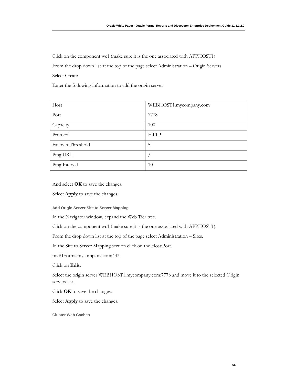Click on the component wc1 (make sure it is the one associated with APPHOST1)

From the drop down list at the top of the page select Administration – Origin Servers

Select Create

Enter the following information to add the origin server

| Host               | WEBHOST1.mycompany.com |
|--------------------|------------------------|
| Port               | 7778                   |
| Capacity           | 100                    |
| Protocol           | <b>HTTP</b>            |
| Failover Threshold | 5                      |
| Ping URL           |                        |
| Ping Interval      | 10                     |

And select **OK** to save the changes.

Select **Apply** to save the changes.

**Add Origin Server Site to Server Mapping** 

In the Navigator window, expand the Web Tier tree.

Click on the component wc1 (make sure it is the one associated with APPHOST1).

From the drop down list at the top of the page select Administration – Sites.

In the Site to Server Mapping section click on the Host:Port.

myBIForms.mycompany.com:443.

Click on **Edit.** 

Select the origin server WEBHOST1.mycompany.com:7778 and move it to the selected Origin servers list.

Click **OK** to save the changes.

Select **Apply** to save the changes.

**Cluster Web Caches**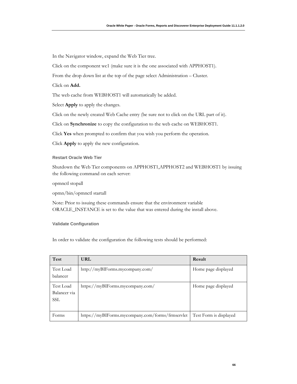In the Navigator window, expand the Web Tier tree.

Click on the component wc1 (make sure it is the one associated with APPHOST1).

From the drop down list at the top of the page select Administration – Cluster.

Click on **Add.**

The web cache from WEBHOST1 will automatically be added.

Select **Apply** to apply the changes.

Click on the newly created Web Cache entry (be sure not to click on the URL part of it).

Click on **Synchronize** to copy the configuration to the web cache on WEBHOST1.

Click **Yes** when prompted to confirm that you wish you perform the operation.

Click **Apply** to apply the new configuration.

**Restart Oracle Web Tier** 

Shutdown the Web Tier components on APPHOST1,APPHOST2 and WEBHOST1 by issuing the following command on each server:

opmnctl stopall

opmn/bin/opmnctl startall

Note: Prior to issuing these commands ensure that the environment variable ORACLE\_INSTANCE is set to the value that was entered during the install above.

**Validate Configuration** 

In order to validate the configuration the following tests should be performed:

| Test                                    | <b>URL</b>                                       | Result                 |
|-----------------------------------------|--------------------------------------------------|------------------------|
| Test Load<br>balancer                   | http://myBIForms.mycompany.com/                  | Home page displayed    |
| Test Load<br>Balancer via<br><b>SSL</b> | https://myBIForms.mycompany.com/                 | Home page displayed    |
| Forms                                   | https://myBIForms.mycompany.com/forms/frmservlet | Test Form is displayed |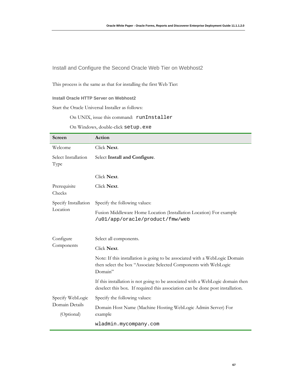Install and Configure the Second Oracle Web Tier on Webhost2

This process is the same as that for installing the first Web Tier:

## **Install Oracle HTTP Server on Webhost2**

Start the Oracle Universal Installer as follows:

On UNIX, issue this command: runInstaller

On Windows, double-click setup.exe

| Screen                       | Action                                                                                                                                                           |
|------------------------------|------------------------------------------------------------------------------------------------------------------------------------------------------------------|
| Welcome                      | Click Next.                                                                                                                                                      |
| Select Installation<br>Type  | Select Install and Configure.                                                                                                                                    |
|                              | Click Next.                                                                                                                                                      |
| Prerequisite<br>Checks       | Click Next.                                                                                                                                                      |
| Specify Installation         | Specify the following values:                                                                                                                                    |
| Location                     | Fusion Middleware Home Location (Installation Location) For example<br>/u01/app/oracle/product/fmw/web                                                           |
| Configure                    | Select all components.                                                                                                                                           |
| Components                   | Click Next.                                                                                                                                                      |
|                              | Note: If this installation is going to be associated with a WebLogic Domain<br>then select the box "Associate Selected Components with WebLogic<br>Domain"       |
|                              | If this installation is not going to be associated with a WebLogic domain then<br>deselect this box. If required this association can be done post installation. |
| Specify WebLogic             | Specify the following values:                                                                                                                                    |
| Domain Details<br>(Optional) | Domain Host Name (Machine Hosting WebLogic Admin Server) For<br>example                                                                                          |
|                              | wladmin.mycompany.com                                                                                                                                            |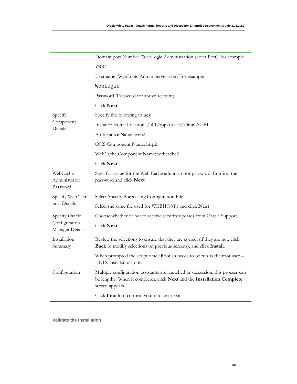| Domain port Number (WebLogic Administration server Port) For example                                                                                                         |
|------------------------------------------------------------------------------------------------------------------------------------------------------------------------------|
| 7001                                                                                                                                                                         |
| Username (WebLogic Admin Server user) For example                                                                                                                            |
| WebLogic                                                                                                                                                                     |
| Password (Password for above account)                                                                                                                                        |
| Click Next.                                                                                                                                                                  |
| Specify the following values:                                                                                                                                                |
| Instance Home Location: /u01/app/oracle/admin/web1                                                                                                                           |
| AS Instance Name: web2                                                                                                                                                       |
| OHS Component Name: http2                                                                                                                                                    |
| WebCache Component Name: webcache2                                                                                                                                           |
| Click Next.                                                                                                                                                                  |
| Specify a value for the Web Cache administrator password. Confirm the<br>password and click Next                                                                             |
| Select Specify Ports using Configuration File                                                                                                                                |
| Select the same file used for WEBHOST1 and click Next                                                                                                                        |
| Choose whether or not to receive security updates from Oracle Support.                                                                                                       |
| Click Next.                                                                                                                                                                  |
| Review the selections to ensure that they are correct (if they are not, click<br>Back to modify selections on previous screens), and click Install.                          |
| When prompted the script oracleRoot.sh needs to be run as the root user -<br>UNIX installations only.                                                                        |
| Multiple configuration assistants are launched in succession; this process can<br>be lengthy. When it completes, click Next and the Installation Complete<br>screen appears. |
| Click Finish to confirm your choice to exit.                                                                                                                                 |
|                                                                                                                                                                              |

**Validate the Installation**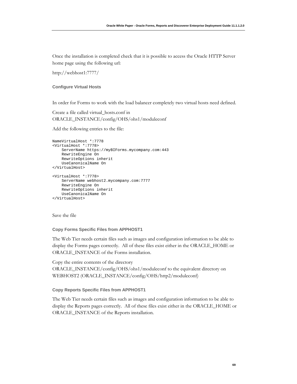Once the installation is completed check that it is possible to access the Oracle HTTP Server home page using the following url:

http://webhost1:7777/

### **Configure Virtual Hosts**

In order for Forms to work with the load balancer completely two virtual hosts need defined.

Create a file called virtual\_hosts.conf in ORACLE\_INSTANCE/config/OHS/ohs1/moduleconf

Add the following entries to the file:

```
NameVirtualHost *:7778 
<VirtualHost *:7778> 
     ServerName https://myBIForms.mycompany.com:443 
     RewriteEngine On 
     RewriteOptions inherit 
     UseCanonicalName On 
</VirtualHost> 
<VirtualHost *:7778> 
     ServerName webhost2.mycompany.com:7777 
     RewriteEngine On 
     RewriteOptions inherit 
     UseCanonicalName On 
</VirtualHost>
```
Save the file

### **Copy Forms Specific Files from APPHOST1**

The Web Tier needs certain files such as images and configuration information to be able to display the Forms pages correctly. All of these files exist either in the ORACLE\_HOME or ORACLE\_INSTANCE of the Forms installation.

Copy the entire contents of the directory ORACLE\_INSTANCE/config/OHS/ohs1/moduleconf to the equivalent directory on WEBHOST2 (ORACLE\_INSTANCE/config/OHS/http2/moduleconf)

### **Copy Reports Specific Files from APPHOST1**

The Web Tier needs certain files such as images and configuration information to be able to display the Reports pages correctly. All of these files exist either in the ORACLE\_HOME or ORACLE\_INSTANCE of the Reports installation.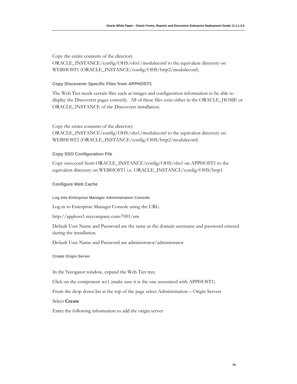Copy the entire contents of the directory ORACLE\_INSTANCE/config/OHS/ohs1/moduleconf to the equivalent directory on WEBHOST1 (ORACLE\_INSTANCE/config/OHS/http2/moduleconf).

### **Copy Discoverer Specific Files from APPHOST1**

The Web Tier needs certain files such as images and configuration information to be able to display the Discoverer pages correctly. All of these files exist either in the ORACLE\_HOME or ORACLE\_INSTANCE of the Discoverer installation.

Copy the entire contents of the directory ORACLE\_INSTANCE/config/OHS/ohs1/moduleconf to the equivalent directory on WEBHOST2 (ORACLE\_INSTANCE/config/OHS/http2/moduleconf)

### **Copy SSO Configuration File**

Copy osso.conf from ORACLE\_INSTANCE/config/OHS/ohs1 on APPHOST1 to the equivalent directory on WEBHOST1 i.e. ORACLE\_INSTANCE/config/OHS/http1

### **Configure Web Cache**

**Log into Enterprise Manager Administration Console** 

Log in to Enterprise Manager Console using the URL:

http://apphost1.mycompany.com:7001/em

Default User Name and Password are the same as the domain username and password entered during the installation.

Default User Name and Password are administrator/administrator

**Create Origin Server** 

In the Navigator window, expand the Web Tier tree.

Click on the component wc1 (make sure it is the one associated with APPHOST1)

From the drop down list at the top of the page select Administration – Origin Servers

# Select **Create**

Enter the following information to add the origin server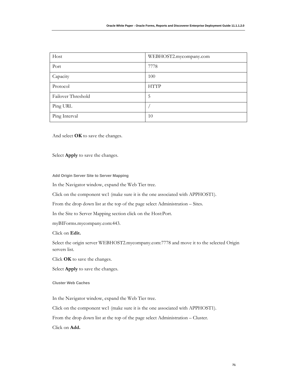| Host               | WEBHOST2.mycompany.com |
|--------------------|------------------------|
| Port               | 7778                   |
| Capacity           | 100                    |
| Protocol           | <b>HTTP</b>            |
| Failover Threshold | 5                      |
| Ping URL           |                        |
| Ping Interval      | 10                     |

And select **OK** to save the changes.

Select **Apply** to save the changes.

**Add Origin Server Site to Server Mapping** 

In the Navigator window, expand the Web Tier tree.

Click on the component wc1 (make sure it is the one associated with APPHOST1).

From the drop down list at the top of the page select Administration – Sites.

In the Site to Server Mapping section click on the Host:Port.

myBIForms.mycompany.com:443.

Click on **Edit.** 

Select the origin server WEBHOST2.mycompany.com:7778 and move it to the selected Origin servers list.

Click **OK** to save the changes.

Select **Apply** to save the changes.

**Cluster Web Caches** 

In the Navigator window, expand the Web Tier tree.

Click on the component wc1 (make sure it is the one associated with APPHOST1).

From the drop down list at the top of the page select Administration – Cluster.

Click on **Add.**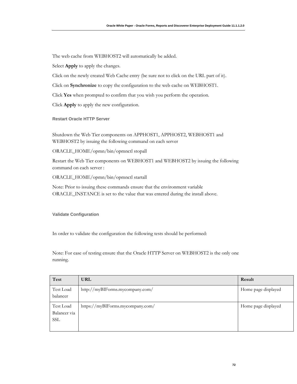The web cache from WEBHOST2 will automatically be added.

Select **Apply** to apply the changes.

Click on the newly created Web Cache entry (be sure not to click on the URL part of it).

Click on **Synchronize** to copy the configuration to the web cache on WEBHOST1.

Click **Yes** when prompted to confirm that you wish you perform the operation.

Click **Apply** to apply the new configuration.

**Restart Oracle HTTP Server**

Shutdown the Web Tier components on APPHOST1, APPHOST2, WEBHOST1 and WEBHOST2 by issuing the following command on each server

ORACLE\_HOME/opmn/bin/opmnctl stopall

Restart the Web Tier components on WEBHOST1 and WEBHOST2 by issuing the following command on each server :

ORACLE\_HOME/opmn/bin/opmnctl startall

Note: Prior to issuing these commands ensure that the environment variable ORACLE\_INSTANCE is set to the value that was entered during the install above.

**Validate Configuration** 

In order to validate the configuration the following tests should be performed:

Note: For ease of testing ensure that the Oracle HTTP Server on WEBHOST2 is the only one running.

| <b>Test</b>                             | <b>URL</b>                       | Result              |
|-----------------------------------------|----------------------------------|---------------------|
| Test Load<br>balancer                   | http://myBIForms.mycompany.com/  | Home page displayed |
| Test Load<br>Balancer via<br><b>SSL</b> | https://myBIForms.mycompany.com/ | Home page displayed |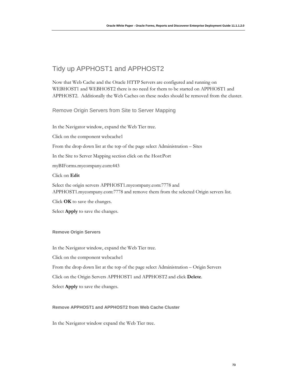# Tidy up APPHOST1 and APPHOST2

Now that Web Cache and the Oracle HTTP Servers are configured and running on WEBHOST1 and WEBHOST2 there is no need for them to be started on APPHOST1 and APPHOST2. Additionally the Web Caches on these nodes should be removed from the cluster.

Remove Origin Servers from Site to Server Mapping

In the Navigator window, expand the Web Tier tree. Click on the component webcache1 From the drop down list at the top of the page select Administration – Sites In the Site to Server Mapping section click on the Host:Port myBIForms.mycompany.com:443 Click on **Edit**  Select the origin servers APPHOST1.mycompany.com:7778 and APPHOST1.mycompany.com:7778 and remove them from the selected Origin servers list.

Click **OK** to save the changes.

Select **Apply** to save the changes.

### **Remove Origin Servers**

In the Navigator window, expand the Web Tier tree.

Click on the component webcache1

From the drop down list at the top of the page select Administration – Origin Servers

Click on the Origin Servers APPHOST1 and APPHOST2 and click **Delete**.

Select **Apply** to save the changes.

### **Remove APPHOST1 and APPHOST2 from Web Cache Cluster**

In the Navigator window expand the Web Tier tree.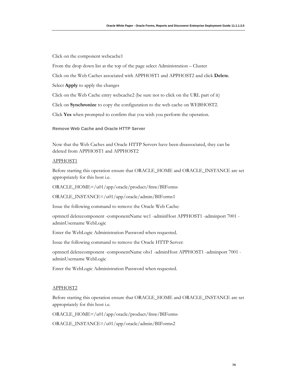Click on the component webcache1

From the drop down list at the top of the page select Administration – Cluster

Click on the Web Caches associated with APPHOST1 and APPHOST2 and click **Delete**.

Select **Apply** to apply the changes

Click on the Web Cache entry webcache2 (be sure not to click on the URL part of it)

Click on **Synchronize** to copy the configuration to the web cache on WEBHOST2.

Click **Yes** when prompted to confirm that you wish you perform the operation.

**Remove Web Cache and Oracle HTTP Server** 

Now that the Web Caches and Oracle HTTP Servers have been disassociated, they can be deleted from APPHOST1 and APPHOST2

#### APPHOST1

Before starting this operation ensure that ORACLE\_HOME and ORACLE\_INSTANCE are set appropriately for this host i.e.

ORACLE\_HOME=/u01/app/oracle/product/fmw/BIForms

ORACLE\_INSTANCE=/u01/app/oracle/admin/BIForms1

Issue the following command to remove the Oracle Web Cache:

opmnctl deletecomponent -componentName wc1 -adminHost APPHOST1 -adminport 7001 adminUsername WebLogic

Enter the WebLogic Administration Password when requested.

Issue the following command to remove the Oracle HTTP Server:

opmnctl deletecomponent -componentName ohs1 -adminHost APPHOST1 -adminport 7001 adminUsername WebLogic

Enter the WebLogic Administration Password when requested.

#### APPHOST2

Before starting this operation ensure that ORACLE\_HOME and ORACLE\_INSTANCE are set appropriately for this host i.e.

ORACLE\_HOME=/u01/app/oracle/product/fmw/BIForms

ORACLE\_INSTANCE=/u01/app/oracle/admin/BIForms2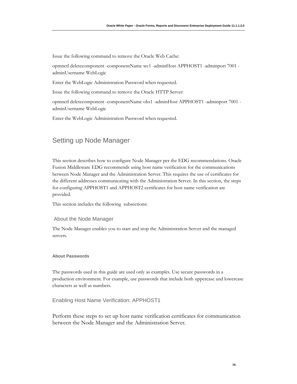Issue the following command to remove the Oracle Web Cache:

opmnctl deletecomponent -componentName wc1 -adminHost APPHOST1 -adminport 7001 adminUsername WebLogic

Enter the WebLogic Administration Password when requested.

Issue the following command to remove the Oracle HTTP Server:

opmnctl deletecomponent -componentName ohs1 -adminHost APPHOST1 -adminport 7001 adminUsername WebLogic

Enter the WebLogic Administration Password when requested.

## Setting up Node Manager

This section describes how to configure Node Manager per the EDG recommendations. Oracle Fusion Middleware EDG recommends using host name verification for the communications between Node Manager and the Administration Server. This requires the use of certificates for the different addresses communicating with the Administration Server. In this section, the steps for configuring APPHOST1 and APPHOST2 certificates for host name verification are provided.

This section includes the following subsections:

### About the Node Manager

The Node Manager enables you to start and stop the Administration Server and the managed servers.

### **About Passwords**

The passwords used in this guide are used only as examples. Use secure passwords in a production environment. For example, use passwords that include both uppercase and lowercase characters as well as numbers.

### Enabling Host Name Verification: APPHOST1

Perform these steps to set up host name verification certificates for communication between the Node Manager and the Administration Server.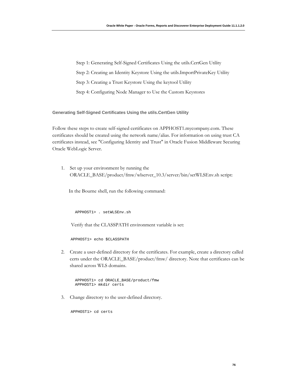Step 1: Generating Self-Signed Certificates Using the utils.CertGen Utility Step 2: Creating an Identity Keystore Using the utils.ImportPrivateKey Utility Step 3: Creating a Trust Keystore Using the keytool Utility Step 4: Configuring Node Manager to Use the Custom Keystores

**Generating Self-Signed Certificates Using the utils.CertGen Utility**

Follow these steps to create self-signed certificates on APPHOST1.mycompany.com. These certificates should be created using the network name/alias. For information on using trust CA certificates instead, see "Configuring Identity and Trust" in Oracle Fusion Middleware Securing Oracle WebLogic Server.

1. Set up your environment by running the ORACLE\_BASE/product/fmw/wlserver\_10.3/server/bin/setWLSEnv.sh script:

In the Bourne shell, run the following command:

APPHOST1> . setWLSEnv.sh

Verify that the CLASSPATH environment variable is set:

APPHOST1> echo \$CLASSPATH

2. Create a user-defined directory for the certificates. For example, create a directory called certs under the ORACLE\_BASE/product/fmw/ directory. Note that certificates can be shared across WLS domains.

```
 APPHOST1> cd ORACLE_BASE/product/fmw 
 APPHOST1> mkdir certs
```
3. Change directory to the user-defined directory.

APPHOST1> cd certs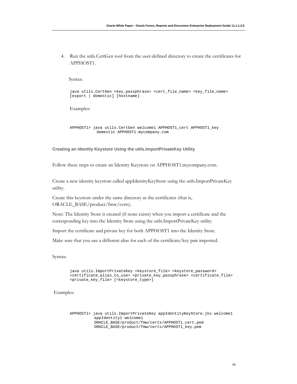4. Run the utils.CertGen tool from the user-defined directory to create the certificates for APPHOST1.

Syntax:

java utils.CertGen <key\_passphrase> <cert\_file\_name> <key\_file\_name> [export | domestic] [hostname]

Examples:

```
 APPHOST1> java utils.CertGen welcome1 APPHOST1_cert APPHOST1_key 
             domestic APPHOST1.mycompany.com
```
**Creating an Identity Keystore Using the utils.ImportPrivateKey Utility** 

Follow these steps to create an Identity Keystore on APPHOST1.mycompany.com.

Create a new identity keystore called appIdentityKeyStore using the utils.ImportPrivateKey utility.

Create this keystore under the same directory as the certificates (that is, ORACLE\_BASE/product/fmw/certs).

Note: The Identity Store is created (if none exists) when you import a certificate and the corresponding key into the Identity Store using the utils.ImportPrivateKey utility.

Import the certificate and private key for both APPHOST1 into the Identity Store.

Make sure that you use a different alias for each of the certificate/key pair imported.

Syntax:

java utils.ImportPrivateKey <keystore\_file> <keystore\_password> <certificate\_alias\_to\_use> <private\_key\_passphrase> <certificate\_file> <private\_key\_file> [<keystore\_type>]

Examples:

 APPHOST1> java utils.ImportPrivateKey appIdentityKeyStore.jks welcome1 appIdentity1 welcome1 ORACLE\_BASE/product/fmw/certs/APPHOST1\_cert.pem ORACLE\_BASE/product/fmw/certs/APPHOST1\_key.pem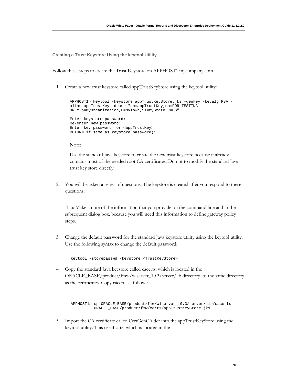**Creating a Trust Keystore Using the keytool Utility**

Follow these steps to create the Trust Keystore on APPHOST1.mycompany.com.

1. Create a new trust keystore called appTrustKeyStore using the keytool utility:

```
APPHOST1> keytool -keystore appTrustKeyStore.jks -genkey -keyalg RSA -
alias appTrustKey -dname "cn=appTrustKey,ou=FOR TESTING 
ONLY,o=MyOrganization,L=MyTown,ST=MyState,C=US" 
Enter keystore password: 
Re-enter new password: 
Enter key password for <appTrustKey>
RETURN if same as keystore password):
```
Note:

Use the standard Java keystore to create the new trust keystore because it already contains most of the needed root CA certificates. Do not to modify the standard Java trust key store directly.

2. You will be asked a series of questions. The keystore is created after you respond to these questions.

 Tip: Make a note of the information that you provide on the command line and in the subsequent dialog box, because you will need this information to define gateway policy steps.

3. Change the default password for the standard Java keystore utility using the keytool utility. Use the following syntax to change the default password:

keytool -storepasswd -keystore <TrustKeyStore>

4. Copy the standard Java keystore called cacerts, which is located in the ORACLE\_BASE/product/fmw/wlserver\_10.3/server/lib directory, to the same directory as the certificates. Copy cacerts as follows:

 APPHOST1> cp ORACLE\_BASE/product/fmw/wlserver\_10.3/server/lib/cacerts ORACLE\_BASE/product/fmw/certs/appTrustKeyStore.jks

5. Import the CA certificate called CertGenCA.der into the appTrustKeyStore using the keytool utility. This certificate, which is located in the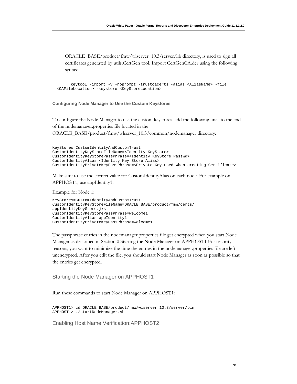ORACLE\_BASE/product/fmw/wlserver\_10.3/server/lib directory, is used to sign all certificates generated by utils.CertGen tool. Import CertGenCA.der using the following syntax:

 keytool -import -v -noprompt -trustcacerts -alias <AliasName> -file <CAFileLocation> -keystore <KeyStoreLocation>

#### **Configuring Node Manager to Use the Custom Keystores**

To configure the Node Manager to use the custom keystores, add the following lines to the end of the nodemanager.properties file located in the ORACLE\_BASE/product/fmw/wlserver\_10.3/common/nodemanager directory:

```
KeyStores=CustomIdentityAndCustomTrust 
CustomIdentityKeyStoreFileName=<Identity KeyStore> 
CustomIdentityKeyStorePassPhrase=<Identity KeyStore Passwd> 
CustomIdentityAlias=<Identity Key Store Alias> 
CustomIdentityPrivateKeyPassPhrase=<Private Key used when creating Certificate>
```
Make sure to use the correct value for CustomIdentityAlias on each node. For example on APPHOST1, use appIdentity1.

Example for Node 1:

```
KeyStores=CustomIdentityAndCustomTrust 
CustomIdentityKeyStoreFileName=ORACLE_BASE/product/fmw/certs/ 
appIdentityKeyStore.jks 
CustomIdentityKeyStorePassPhrase=welcome1 
CustomIdentityAlias=appIdentity1 
CustomIdentityPrivateKeyPassPhrase=welcome1
```
The passphrase entries in the nodemanager.properties file get encrypted when you start Node Manager as described in Section [0 Starting the Node Manager on APPHOST1 F](#page-79-0)or security reasons, you want to minimize the time the entries in the nodemanager.properties file are left unencrypted. After you edit the file, you should start Node Manager as soon as possible so that the entries get encrypted.

<span id="page-79-0"></span>Starting the Node Manager on APPHOST1

Run these commands to start Node Manager on APPHOST1:

```
APPHOST1> cd ORACLE_BASE/product/fmw/wlserver_10.3/server/bin 
APPHOST1> ./startNodeManager.sh
```
Enabling Host Name Verification:APPHOST2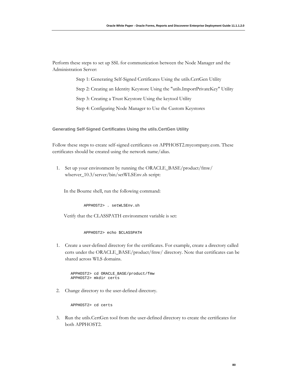Perform these steps to set up SSL for communication between the Node Manager and the Administration Server:

Step 1: Generating Self-Signed Certificates Using the utils.CertGen Utility

Step 2: Creating an Identity Keystore Using the "utils.ImportPrivateKey" Utility

Step 3: Creating a Trust Keystore Using the keytool Utility

Step 4: Configuring Node Manager to Use the Custom Keystores

**Generating Self-Signed Certificates Using the utils.CertGen Utility**

Follow these steps to create self-signed certificates on APPHOST2.mycompany.com. These certificates should be created using the network name/alias.

1. Set up your environment by running the ORACLE\_BASE/product/fmw/ wlserver\_10.3/server/bin/setWLSEnv.sh script:

In the Bourne shell, run the following command:

APPHOST2> . setWLSEnv.sh

Verify that the CLASSPATH environment variable is set:

APPHOST2> echo \$CLASSPATH

1. Create a user-defined directory for the certificates. For example, create a directory called certs under the ORACLE\_BASE/product/fmw/ directory. Note that certificates can be shared across WLS domains.

 APPHOST2> cd ORACLE\_BASE/product/fmw APPHOST2> mkdir certs

2. Change directory to the user-defined directory.

APPHOST2> cd certs

3. Run the utils.CertGen tool from the user-defined directory to create the certificates for both APPHOST2.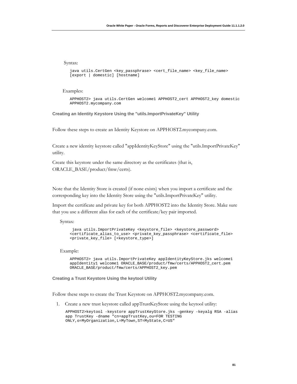Syntax:

```
java utils.CertGen <key_passphrase> <cert_file_name> <key_file_name> 
[export | domestic] [hostname]
```
Examples:

APPHOST2> java utils.CertGen welcome1 APPHOST2\_cert APPHOST2\_key domestic APPHOST2.mycompany.com

**Creating an Identity Keystore Using the "utils.ImportPrivateKey" Utility** 

Follow these steps to create an Identity Keystore on APPHOST2.mycompany.com.

Create a new identity keystore called "appIdentityKeyStore" using the "utils.ImportPrivateKey" utility.

Create this keystore under the same directory as the certificates (that is, ORACLE\_BASE/product/fmw/certs).

Note that the Identity Store is created (if none exists) when you import a certificate and the corresponding key into the Identity Store using the "utils.ImportPrivateKey" utility.

Import the certificate and private key for both APPHOST2 into the Identity Store. Make sure that you use a different alias for each of the certificate/key pair imported.

Syntax:

```
 java utils.ImportPrivateKey <keystore_file> <keystore_password> 
<certificate_alias_to_use> <private_key_passphrase> <certificate_file> 
<private_key_file> [<keystore_type>]
```
Example:

APPHOST2> java utils.ImportPrivateKey appIdentityKeyStore.jks welcome1 appIdentity1 welcome1 ORACLE\_BASE/product/fmw/certs/APPHOST2\_cert.pem ORACLE\_BASE/product/fmw/certs/APPHOST2\_key.pem

**Creating a Trust Keystore Using the keytool Utility**

Follow these steps to create the Trust Keystore on APPHOST2.mycompany.com.

1. Create a new trust keystore called appTrustKeyStore using the keytool utility:

APPHOST2>keytool -keystore appTrustKeyStore.jks -genkey -keyalg RSA -alias app TrustKey -dname "cn=appTrustKey,ou=FOR TESTING ONLY,o=MyOrganization,L=MyTown,ST=MyState,C=US"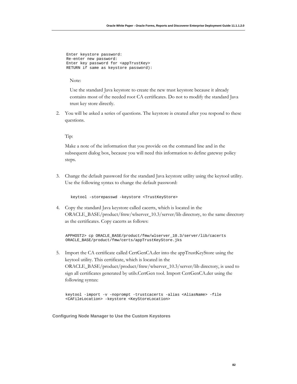```
 Enter keystore password: 
 Re-enter new password: 
 Enter key password for <appTrustKey> 
 RETURN if same as keystore password):
```
Note:

Use the standard Java keystore to create the new trust keystore because it already contains most of the needed root CA certificates. Do not to modify the standard Java trust key store directly.

2. You will be asked a series of questions. The keystore is created after you respond to these questions.

#### Tip:

Make a note of the information that you provide on the command line and in the subsequent dialog box, because you will need this information to define gateway policy steps.

3. Change the default password for the standard Java keystore utility using the keytool utility. Use the following syntax to change the default password:

keytool -storepasswd -keystore <TrustKeyStore>

4. Copy the standard Java keystore called cacerts, which is located in the ORACLE\_BASE/product/fmw/wlserver\_10.3/server/lib directory, to the same directory as the certificates. Copy cacerts as follows:

```
APPHOST2> cp ORACLE_BASE/product/fmw/wlserver_10.3/server/lib/cacerts 
ORACLE_BASE/product/fmw/certs/appTrustKeyStore.jks
```
5. Import the CA certificate called CertGenCA.der into the appTrustKeyStore using the keytool utility. This certificate, which is located in the ORACLE\_BASE/product/product/fmw/wlserver\_10.3/server/lib directory, is used to sign all certificates generated by utils.CertGen tool. Import CertGenCA.der using the following syntax:

keytool -import -v -noprompt -trustcacerts -alias <AliasName> -file <CAFileLocation> -keystore <KeyStoreLocation>

**Configuring Node Manager to Use the Custom Keystores**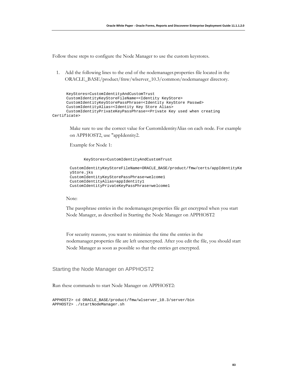Follow these steps to configure the Node Manager to use the custom keystores.

1. Add the following lines to the end of the nodemanager.properties file located in the ORACLE\_BASE/product/fmw/wlserver\_10.3/common/nodemanager directory.

```
 KeyStores=CustomIdentityAndCustomTrust 
       CustomIdentityKeyStoreFileName=<Identity KeyStore> 
       CustomIdentityKeyStorePassPhrase=<Identity KeyStore Passwd> 
       CustomIdentityAlias=<Identity Key Store Alias> 
       CustomIdentityPrivateKeyPassPhrase=<Private Key used when creating 
Certificate>
```
Make sure to use the correct value for CustomIdentityAlias on each node. For example on APPHOST2, use "appIdentity2.

Example for Node 1:

```
 KeyStores=CustomIdentityAndCustomTrust
```

```
CustomIdentityKeyStoreFileName=ORACLE_BASE/product/fmw/certs/appIdentityKe
yStore.jks 
CustomIdentityKeyStorePassPhrase=welcome1 
CustomIdentityAlias=appIdentity1 
CustomIdentityPrivateKeyPassPhrase=welcome1
```
#### Note:

The passphrase entries in the nodemanager.properties file get encrypted when you start Node Manager, as described in [Starting the Node Manager on APPHOST2](#page-83-0) 

For security reasons, you want to minimize the time the entries in the nodemanager.properties file are left unencrypted. After you edit the file, you should start Node Manager as soon as possible so that the entries get encrypted.

<span id="page-83-0"></span>Starting the Node Manager on APPHOST2

Run these commands to start Node Manager on APPHOST2:

APPHOST2> cd ORACLE\_BASE/product/fmw/wlserver\_10.3/server/bin APPHOST2> ./startNodeManager.sh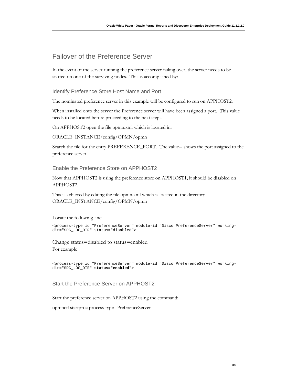## Failover of the Preference Server

In the event of the server running the preference server failing over, the server needs to be started on one of the surviving nodes. This is accomplished by:

Identify Preference Store Host Name and Port

The nominated preference server in this example will be configured to run on APPHOST2.

When installed onto the server the Preference server will have been assigned a port. This value needs to be located before proceeding to the next steps.

On APPHOST2 open the file opmn.xml which is located in:

ORACLE\_INSTANCE/config/OPMN/opmn

Search the file for the entry PREFERENCE\_PORT. The value= shows the port assigned to the preference server.

Enable the Preference Store on APPHOST2

Now that APPHOST2 is using the preference store on APPHOST1, it should be disabled on APPHOST2.

This is achieved by editing the file opmn.xml which is located in the directory ORACLE\_INSTANCE/config/OPMN/opmn

Locate the following line:

```
<process-type id="PreferenceServer" module-id="Disco_PreferenceServer" working-
dir="$DC_LOG_DIR" status="disabled">
```
Change status=disabled to status=enabled For example

<process-type id="PreferenceServer" module-id="Disco\_PreferenceServer" workingdir="\$DC\_LOG\_DIR" **status="enabled**">

Start the Preference Server on APPHOST2

Start the preference server on APPHOST2 using the command:

opmnctl startproc process-type=PreferenceServer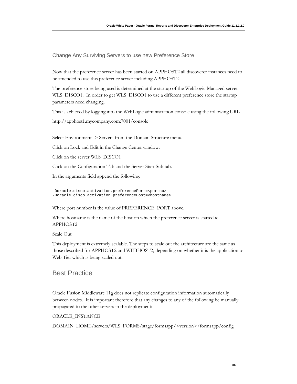Change Any Surviving Servers to use new Preference Store

Now that the preference server has been started on APPHOST2 all discoverer instances need to be amended to use this preference server including APPHOST2.

The preference store being used is determined at the startup of the WebLogic Managed server WLS\_DISCO1. In order to get WLS\_DISCO1 to use a different preference store the startup parameters need changing.

This is achieved by logging into the WebLogic administration console using the following URL

http://apphost1.mycompany.com:7001/console

Select Environment -> Servers from the Domain Structure menu.

Click on Lock and Edit in the Change Center window.

Click on the server WLS\_DISCO1

Click on the Configuration Tab and the Server Start Sub tab.

In the arguments field append the following:

-Doracle.disco.activation.preferencePort=<portno> -Doracle.disco.activation.preferenceHost=<hostname>

Where port number is the value of PREFERENCE\_PORT above.

Where hostname is the name of the host on which the preference server is started ie. APPHOST2

Scale Out

This deployment is extremely scalable. The steps to scale out the architecture are the same as those described for APPHOST2 and WEBHOST2, depending on whether it is the application or Web Tier which is being scaled out.

## Best Practice

Oracle Fusion Middleware 11g does not replicate configuration information automatically between nodes. It is important therefore that any changes to any of the following be manually propagated to the other servers in the deployment:

#### ORACLE\_INSTANCE

DOMAIN\_HOME/servers/WLS\_FORMS/stage/formsapp/<version>/formsapp/config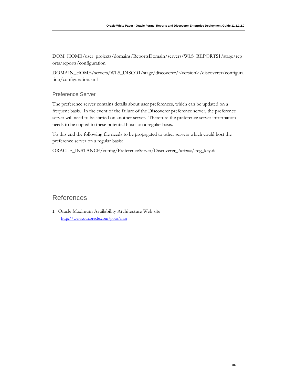DOM\_HOME/user\_projects/domains/ReportsDomain/servers/WLS\_REPORTS1/stage/rep orts/reports/configuration

DOMAIN\_HOME/servers/WLS\_DISCO1/stage/discoverer/<version>/discoverer/configura tion/configuration.xml

Preference Server

The preference server contains details about user preferences, which can be updated on a frequent basis. In the event of the failure of the Discoverer preference server, the preference server will need to be started on another server. Therefore the preference server information needs to be copied to these potential hosts on a regular basis.

To this end the following file needs to be propagated to other servers which could host the preference server on a regular basis:

ORACLE\_INSTANCE/config/PreferenceServer/Discoverer\_*Instance*/.reg\_key.dc

## References

1. Oracle Maximum Availability Architecture Web site <http://www.otn.oracle.com/goto/maa>